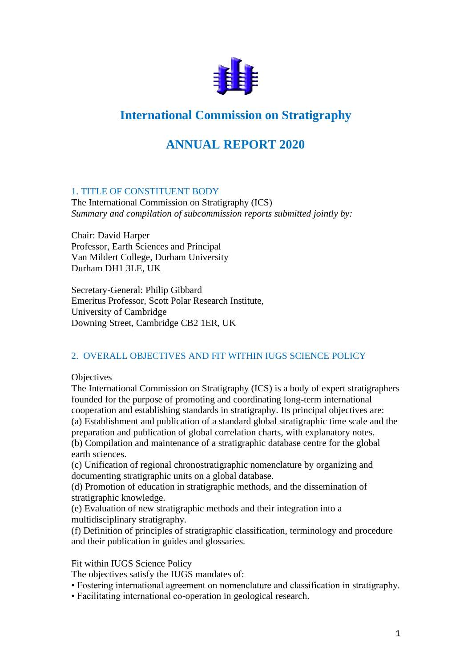

# **International Commission on Stratigraphy**

# **ANNUAL REPORT 2020**

### 1. TITLE OF CONSTITUENT BODY

The International Commission on Stratigraphy (ICS) *Summary and compilation of subcommission reports submitted jointly by:*

Chair: David Harper Professor, Earth Sciences and Principal Van Mildert College, Durham University Durham DH1 3LE, UK

Secretary-General: Philip Gibbard Emeritus Professor, Scott Polar Research Institute, University of Cambridge Downing Street, Cambridge CB2 1ER, UK

### 2. OVERALL OBJECTIVES AND FIT WITHIN IUGS SCIENCE POLICY

**Objectives** 

The International Commission on Stratigraphy (ICS) is a body of expert stratigraphers founded for the purpose of promoting and coordinating long-term international cooperation and establishing standards in stratigraphy. Its principal objectives are: (a) Establishment and publication of a standard global stratigraphic time scale and the preparation and publication of global correlation charts, with explanatory notes. (b) Compilation and maintenance of a stratigraphic database centre for the global earth sciences.

(c) Unification of regional chronostratigraphic nomenclature by organizing and documenting stratigraphic units on a global database.

(d) Promotion of education in stratigraphic methods, and the dissemination of stratigraphic knowledge.

(e) Evaluation of new stratigraphic methods and their integration into a multidisciplinary stratigraphy.

(f) Definition of principles of stratigraphic classification, terminology and procedure and their publication in guides and glossaries.

### Fit within IUGS Science Policy

The objectives satisfy the IUGS mandates of:

- Fostering international agreement on nomenclature and classification in stratigraphy.
- Facilitating international co-operation in geological research.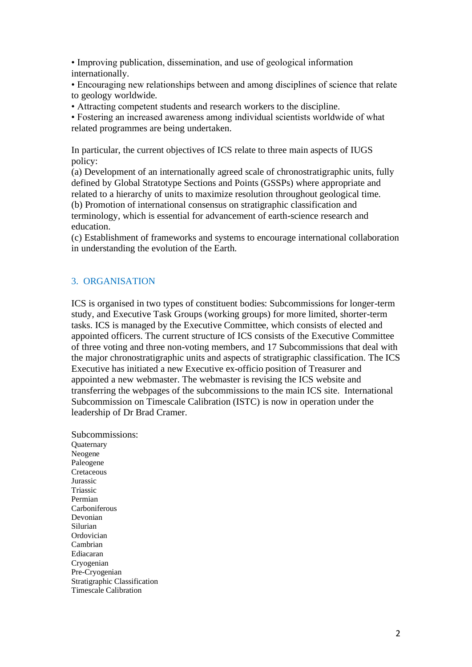• Improving publication, dissemination, and use of geological information internationally.

• Encouraging new relationships between and among disciplines of science that relate to geology worldwide.

• Attracting competent students and research workers to the discipline.

• Fostering an increased awareness among individual scientists worldwide of what related programmes are being undertaken.

In particular, the current objectives of ICS relate to three main aspects of IUGS policy:

(a) Development of an internationally agreed scale of chronostratigraphic units, fully defined by Global Stratotype Sections and Points (GSSPs) where appropriate and related to a hierarchy of units to maximize resolution throughout geological time. (b) Promotion of international consensus on stratigraphic classification and terminology, which is essential for advancement of earth-science research and education.

(c) Establishment of frameworks and systems to encourage international collaboration in understanding the evolution of the Earth.

#### 3. ORGANISATION

ICS is organised in two types of constituent bodies: Subcommissions for longer-term study, and Executive Task Groups (working groups) for more limited, shorter-term tasks. ICS is managed by the Executive Committee, which consists of elected and appointed officers. The current structure of ICS consists of the Executive Committee of three voting and three non-voting members, and 17 Subcommissions that deal with the major chronostratigraphic units and aspects of stratigraphic classification. The ICS Executive has initiated a new Executive ex-officio position of Treasurer and appointed a new webmaster. The webmaster is revising the ICS website and transferring the webpages of the subcommissions to the main ICS site. International Subcommission on Timescale Calibration (ISTC) is now in operation under the leadership of Dr Brad Cramer.

Subcommissions: **Ouaternary** Neogene Paleogene Cretaceous Jurassic Triassic Permian Carboniferous Devonian Silurian Ordovician Cambrian Ediacaran Cryogenian Pre-Cryogenian Stratigraphic Classification Timescale Calibration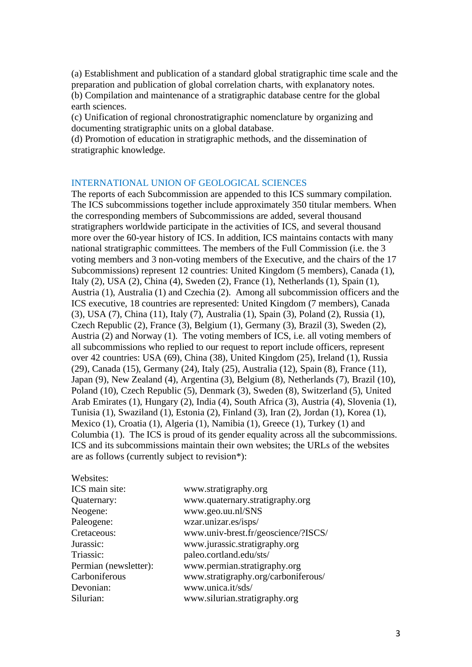(a) Establishment and publication of a standard global stratigraphic time scale and the preparation and publication of global correlation charts, with explanatory notes. (b) Compilation and maintenance of a stratigraphic database centre for the global earth sciences.

(c) Unification of regional chronostratigraphic nomenclature by organizing and documenting stratigraphic units on a global database.

(d) Promotion of education in stratigraphic methods, and the dissemination of stratigraphic knowledge.

#### INTERNATIONAL UNION OF GEOLOGICAL SCIENCES

The reports of each Subcommission are appended to this ICS summary compilation. The ICS subcommissions together include approximately 350 titular members. When the corresponding members of Subcommissions are added, several thousand stratigraphers worldwide participate in the activities of ICS, and several thousand more over the 60-year history of ICS. In addition, ICS maintains contacts with many national stratigraphic committees. The members of the Full Commission (i.e. the 3 voting members and 3 non-voting members of the Executive, and the chairs of the 17 Subcommissions) represent 12 countries: United Kingdom (5 members), Canada (1), Italy (2), USA (2), China (4), Sweden (2), France (1), Netherlands (1), Spain (1), Austria (1), Australia (1) and Czechia (2). Among all subcommission officers and the ICS executive, 18 countries are represented: United Kingdom (7 members), Canada (3), USA (7), China (11), Italy (7), Australia (1), Spain (3), Poland (2), Russia (1), Czech Republic (2), France (3), Belgium (1), Germany (3), Brazil (3), Sweden (2), Austria (2) and Norway (1). The voting members of ICS, i.e. all voting members of all subcommissions who replied to our request to report include officers, represent over 42 countries: USA (69), China (38), United Kingdom (25), Ireland (1), Russia (29), Canada (15), Germany (24), Italy (25), Australia (12), Spain (8), France (11), Japan (9), New Zealand (4), Argentina (3), Belgium (8), Netherlands (7), Brazil (10), Poland (10), Czech Republic (5), Denmark (3), Sweden (8), Switzerland (5), United Arab Emirates (1), Hungary (2), India (4), South Africa (3), Austria (4), Slovenia (1), Tunisia (1), Swaziland (1), Estonia (2), Finland (3), Iran (2), Jordan (1), Korea (1), Mexico (1), Croatia (1), Algeria (1), Namibia (1), Greece (1), Turkey (1) and Columbia (1). The ICS is proud of its gender equality across all the subcommissions. ICS and its subcommissions maintain their own websites; the URLs of the websites are as follows (currently subject to revision\*):

| Websites:             |                                     |
|-----------------------|-------------------------------------|
| ICS main site:        | www.stratigraphy.org                |
| Quaternary:           | www.quaternary.stratigraphy.org     |
| Neogene:              | www.geo.uu.nl/SNS                   |
| Paleogene:            | wzar.unizar.es/isps/                |
| Cretaceous:           | www.univ-brest.fr/geoscience/?ISCS/ |
| Jurassic:             | www.jurassic.stratigraphy.org       |
| Triassic:             | paleo.cortland.edu/sts/             |
| Permian (newsletter): | www.permian.stratigraphy.org        |
| Carboniferous         | www.stratigraphy.org/carboniferous/ |
| Devonian:             | www.unica.it/sds/                   |
| Silurian:             | www.silurian.stratigraphy.org       |
|                       |                                     |

 $\frac{1}{2}$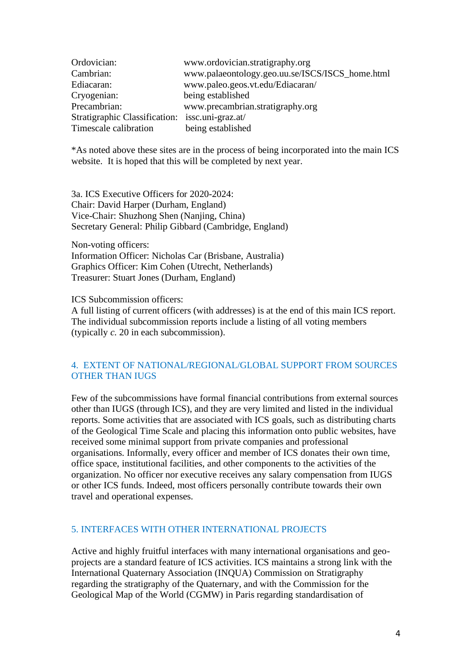| Ordovician:                                     | www.ordovician.stratigraphy.org                 |
|-------------------------------------------------|-------------------------------------------------|
| Cambrian:                                       | www.palaeontology.geo.uu.se/ISCS/ISCS_home.html |
| Ediacaran:                                      | www.paleo.geos.vt.edu/Ediacaran/                |
| Cryogenian:                                     | being established                               |
| Precambrian:                                    | www.precambrian.stratigraphy.org                |
| Stratigraphic Classification: issc.uni-graz.at/ |                                                 |
| Timescale calibration                           | being established                               |

\*As noted above these sites are in the process of being incorporated into the main ICS website. It is hoped that this will be completed by next year.

3a. ICS Executive Officers for 2020-2024: Chair: David Harper (Durham, England) Vice-Chair: Shuzhong Shen (Nanjing, China) Secretary General: Philip Gibbard (Cambridge, England)

Non-voting officers:

Information Officer: Nicholas Car (Brisbane, Australia) Graphics Officer: Kim Cohen (Utrecht, Netherlands) Treasurer: Stuart Jones (Durham, England)

ICS Subcommission officers:

A full listing of current officers (with addresses) is at the end of this main ICS report. The individual subcommission reports include a listing of all voting members (typically *c.* 20 in each subcommission).

#### 4. EXTENT OF NATIONAL/REGIONAL/GLOBAL SUPPORT FROM SOURCES OTHER THAN IUGS

Few of the subcommissions have formal financial contributions from external sources other than IUGS (through ICS), and they are very limited and listed in the individual reports. Some activities that are associated with ICS goals, such as distributing charts of the Geological Time Scale and placing this information onto public websites, have received some minimal support from private companies and professional organisations. Informally, every officer and member of ICS donates their own time, office space, institutional facilities, and other components to the activities of the organization. No officer nor executive receives any salary compensation from IUGS or other ICS funds. Indeed, most officers personally contribute towards their own travel and operational expenses.

#### 5. INTERFACES WITH OTHER INTERNATIONAL PROJECTS

Active and highly fruitful interfaces with many international organisations and geoprojects are a standard feature of ICS activities. ICS maintains a strong link with the International Quaternary Association (INQUA) Commission on Stratigraphy regarding the stratigraphy of the Quaternary, and with the Commission for the Geological Map of the World (CGMW) in Paris regarding standardisation of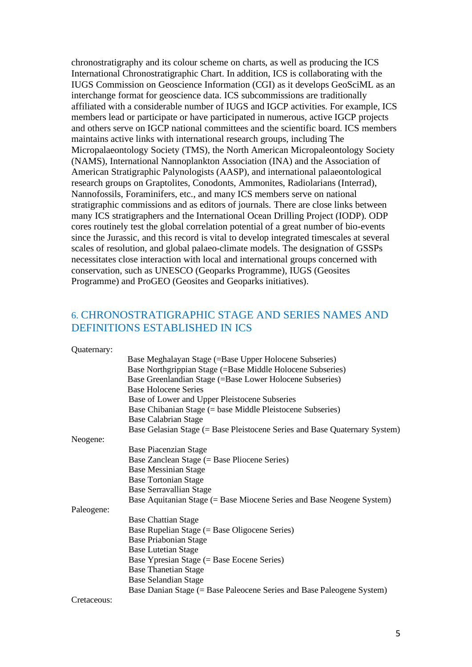chronostratigraphy and its colour scheme on charts, as well as producing the ICS International Chronostratigraphic Chart. In addition, ICS is collaborating with the IUGS Commission on Geoscience Information (CGI) as it develops GeoSciML as an interchange format for geoscience data. ICS subcommissions are traditionally affiliated with a considerable number of IUGS and IGCP activities. For example, ICS members lead or participate or have participated in numerous, active IGCP projects and others serve on IGCP national committees and the scientific board. ICS members maintains active links with international research groups, including The Micropalaeontology Society (TMS), the North American Micropaleontology Society (NAMS), International Nannoplankton Association (INA) and the Association of American Stratigraphic Palynologists (AASP), and international palaeontological research groups on Graptolites, Conodonts, Ammonites, Radiolarians (Interrad), Nannofossils, Foraminifers, etc., and many ICS members serve on national stratigraphic commissions and as editors of journals. There are close links between many ICS stratigraphers and the International Ocean Drilling Project (IODP). ODP cores routinely test the global correlation potential of a great number of bio-events since the Jurassic, and this record is vital to develop integrated timescales at several scales of resolution, and global palaeo-climate models. The designation of GSSPs necessitates close interaction with local and international groups concerned with conservation, such as UNESCO (Geoparks Programme), IUGS (Geosites Programme) and ProGEO (Geosites and Geoparks initiatives).

### 6. CHRONOSTRATIGRAPHIC STAGE AND SERIES NAMES AND DEFINITIONS ESTABLISHED IN ICS

Quaternary:

|             | Base Meghalayan Stage (=Base Upper Holocene Subseries)                     |
|-------------|----------------------------------------------------------------------------|
|             | Base Northgrippian Stage (=Base Middle Holocene Subseries)                 |
|             | Base Greenlandian Stage (=Base Lower Holocene Subseries)                   |
|             | <b>Base Holocene Series</b>                                                |
|             | Base of Lower and Upper Pleistocene Subseries                              |
|             | Base Chibanian Stage (= base Middle Pleistocene Subseries)                 |
|             | <b>Base Calabrian Stage</b>                                                |
|             | Base Gelasian Stage (= Base Pleistocene Series and Base Quaternary System) |
| Neogene:    |                                                                            |
|             | <b>Base Piacenzian Stage</b>                                               |
|             | Base Zanclean Stage (= Base Pliocene Series)                               |
|             | <b>Base Messinian Stage</b>                                                |
|             | <b>Base Tortonian Stage</b>                                                |
|             | <b>Base Serravallian Stage</b>                                             |
|             | Base Aquitanian Stage (= Base Miocene Series and Base Neogene System)      |
| Paleogene:  |                                                                            |
|             | <b>Base Chattian Stage</b>                                                 |
|             | Base Rupelian Stage $(=$ Base Oligocene Series)                            |
|             | <b>Base Priabonian Stage</b>                                               |
|             | <b>Base Lutetian Stage</b>                                                 |
|             | Base Ypresian Stage $(=$ Base Eocene Series)                               |
|             | <b>Base Thanetian Stage</b>                                                |
|             | <b>Base Selandian Stage</b>                                                |
|             | Base Danian Stage (= Base Paleocene Series and Base Paleogene System)      |
| Cretaceous: |                                                                            |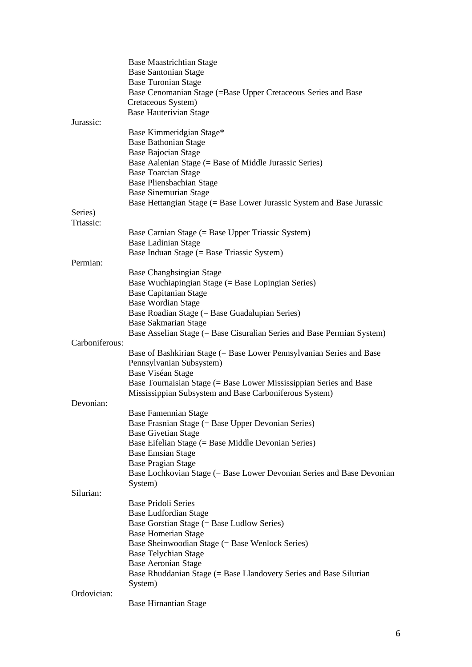|                | <b>Base Maastrichtian Stage</b>                                                                  |
|----------------|--------------------------------------------------------------------------------------------------|
|                | <b>Base Santonian Stage</b>                                                                      |
|                | <b>Base Turonian Stage</b>                                                                       |
|                | Base Cenomanian Stage (=Base Upper Cretaceous Series and Base                                    |
|                | Cretaceous System)                                                                               |
|                | <b>Base Hauterivian Stage</b>                                                                    |
| Jurassic:      |                                                                                                  |
|                | Base Kimmeridgian Stage*<br><b>Base Bathonian Stage</b>                                          |
|                | <b>Base Bajocian Stage</b>                                                                       |
|                | Base Aalenian Stage (= Base of Middle Jurassic Series)                                           |
|                | <b>Base Toarcian Stage</b>                                                                       |
|                | Base Pliensbachian Stage                                                                         |
|                | <b>Base Sinemurian Stage</b>                                                                     |
|                | Base Hettangian Stage (= Base Lower Jurassic System and Base Jurassic                            |
| Series)        |                                                                                                  |
| Triassic:      |                                                                                                  |
|                | Base Carnian Stage (= Base Upper Triassic System)                                                |
|                | <b>Base Ladinian Stage</b>                                                                       |
|                | Base Induan Stage (= Base Triassic System)                                                       |
| Permian:       |                                                                                                  |
|                | <b>Base Changhsingian Stage</b>                                                                  |
|                | Base Wuchiapingian Stage (= Base Lopingian Series)                                               |
|                | <b>Base Capitanian Stage</b>                                                                     |
|                | <b>Base Wordian Stage</b>                                                                        |
|                | Base Roadian Stage (= Base Guadalupian Series)                                                   |
|                | <b>Base Sakmarian Stage</b>                                                                      |
| Carboniferous: | Base Asselian Stage (= Base Cisuralian Series and Base Permian System)                           |
|                |                                                                                                  |
|                | Base of Bashkirian Stage (= Base Lower Pennsylvanian Series and Base<br>Pennsylvanian Subsystem) |
|                | Base Viséan Stage                                                                                |
|                | Base Tournaisian Stage (= Base Lower Mississippian Series and Base                               |
|                | Mississippian Subsystem and Base Carboniferous System)                                           |
| Devonian:      |                                                                                                  |
|                | <b>Base Famennian Stage</b>                                                                      |
|                | Base Frasnian Stage (= Base Upper Devonian Series)                                               |
|                | <b>Base Givetian Stage</b>                                                                       |
|                | Base Eifelian Stage (= Base Middle Devonian Series)                                              |
|                | <b>Base Emsian Stage</b>                                                                         |
|                | <b>Base Pragian Stage</b>                                                                        |
|                | Base Lochkovian Stage (= Base Lower Devonian Series and Base Devonian                            |
|                | System)                                                                                          |
| Silurian:      |                                                                                                  |
|                | <b>Base Pridoli Series</b>                                                                       |
|                | <b>Base Ludfordian Stage</b>                                                                     |
|                | Base Gorstian Stage (= Base Ludlow Series)                                                       |
|                | <b>Base Homerian Stage</b>                                                                       |
|                | Base Sheinwoodian Stage (= Base Wenlock Series)                                                  |
|                | <b>Base Telychian Stage</b>                                                                      |
|                | <b>Base Aeronian Stage</b>                                                                       |
|                | Base Rhuddanian Stage (= Base Llandovery Series and Base Silurian<br>System)                     |
| Ordovician:    |                                                                                                  |
|                | <b>Base Hirnantian Stage</b>                                                                     |
|                |                                                                                                  |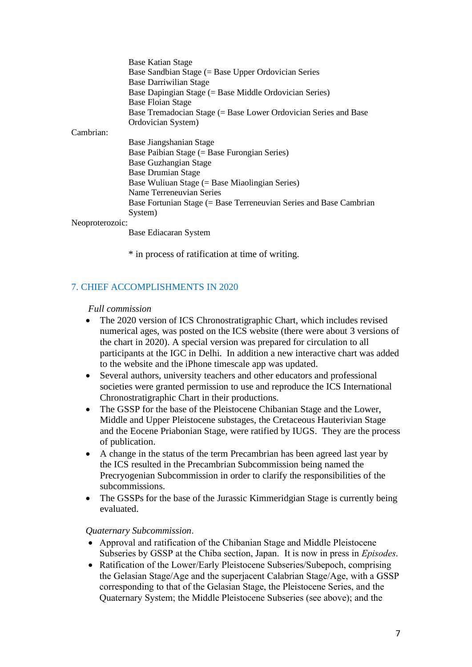|                 | <b>Base Katian Stage</b>                                           |
|-----------------|--------------------------------------------------------------------|
|                 | Base Sandbian Stage (= Base Upper Ordovician Series                |
|                 | <b>Base Darriwilian Stage</b>                                      |
|                 | Base Dapingian Stage (= Base Middle Ordovician Series)             |
|                 |                                                                    |
|                 | <b>Base Floian Stage</b>                                           |
|                 | Base Tremadocian Stage (= Base Lower Ordovician Series and Base    |
|                 | Ordovician System)                                                 |
| Cambrian:       |                                                                    |
|                 | Base Jiangshanian Stage                                            |
|                 | Base Paibian Stage $(=$ Base Furongian Series)                     |
|                 | <b>Base Guzhangian Stage</b>                                       |
|                 | <b>Base Drumian Stage</b>                                          |
|                 | Base Wuliuan Stage (= Base Miaolingian Series)                     |
|                 | Name Terreneuvian Series                                           |
|                 | Base Fortunian Stage (= Base Terreneuvian Series and Base Cambrian |
|                 | System)                                                            |
| Neoproterozoic: |                                                                    |

Base Ediacaran System

\* in process of ratification at time of writing.

## 7. CHIEF ACCOMPLISHMENTS IN 2020

#### *Full commission*

- The 2020 version of ICS Chronostratigraphic Chart, which includes revised numerical ages, was posted on the ICS website (there were about 3 versions of the chart in 2020). A special version was prepared for circulation to all participants at the IGC in Delhi. In addition a new interactive chart was added to the website and the iPhone timescale app was updated.
- Several authors, university teachers and other educators and professional societies were granted permission to use and reproduce the ICS International Chronostratigraphic Chart in their productions.
- The GSSP for the base of the Pleistocene Chibanian Stage and the Lower, Middle and Upper Pleistocene substages, the Cretaceous Hauterivian Stage and the Eocene Priabonian Stage, were ratified by IUGS. They are the process of publication.
- A change in the status of the term Precambrian has been agreed last year by the ICS resulted in the Precambrian Subcommission being named the Precryogenian Subcommission in order to clarify the responsibilities of the subcommissions.
- The GSSPs for the base of the Jurassic Kimmeridgian Stage is currently being evaluated.

### *Quaternary Subcommission*.

- Approval and ratification of the Chibanian Stage and Middle Pleistocene Subseries by GSSP at the Chiba section, Japan. It is now in press in *Episodes*.
- Ratification of the Lower/Early Pleistocene Subseries/Subepoch, comprising the Gelasian Stage/Age and the superjacent Calabrian Stage/Age, with a GSSP corresponding to that of the Gelasian Stage, the Pleistocene Series, and the Quaternary System; the Middle Pleistocene Subseries (see above); and the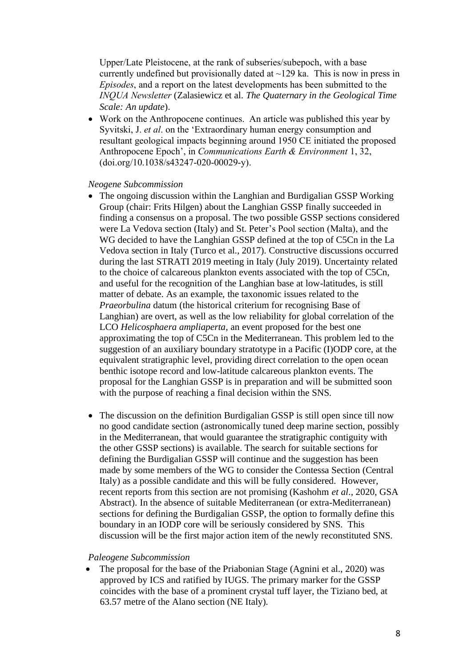Upper/Late Pleistocene, at the rank of subseries/subepoch, with a base currently undefined but provisionally dated at  $\sim$ 129 ka. This is now in press in *Episodes*, and a report on the latest developments has been submitted to the *INQUA Newsletter* (Zalasiewicz et al. *The Quaternary in the Geological Time Scale: An update*).

• Work on the Anthropocene continues. An article was published this year by Syvitski, J. *et al*. on the 'Extraordinary human energy consumption and resultant geological impacts beginning around 1950 CE initiated the proposed Anthropocene Epoch', in *Communications Earth & Environment* 1, 32, (doi.org/10.1038/s43247-020-00029-y).

#### *Neogene Subcommission*

- The ongoing discussion within the Langhian and Burdigalian GSSP Working Group (chair: Frits Hilgen) about the Langhian GSSP finally succeeded in finding a consensus on a proposal. The two possible GSSP sections considered were La Vedova section (Italy) and St. Peter's Pool section (Malta), and the WG decided to have the Langhian GSSP defined at the top of C5Cn in the La Vedova section in Italy (Turco et al., 2017). Constructive discussions occurred during the last STRATI 2019 meeting in Italy (July 2019). Uncertainty related to the choice of calcareous plankton events associated with the top of C5Cn, and useful for the recognition of the Langhian base at low-latitudes, is still matter of debate. As an example, the taxonomic issues related to the *Praeorbulina* datum (the historical criterium for recognising Base of Langhian) are overt, as well as the low reliability for global correlation of the LCO *Helicosphaera ampliaperta*, an event proposed for the best one approximating the top of C5Cn in the Mediterranean. This problem led to the suggestion of an auxiliary boundary stratotype in a Pacific (I)ODP core, at the equivalent stratigraphic level, providing direct correlation to the open ocean benthic isotope record and low-latitude calcareous plankton events. The proposal for the Langhian GSSP is in preparation and will be submitted soon with the purpose of reaching a final decision within the SNS.
- The discussion on the definition Burdigalian GSSP is still open since till now no good candidate section (astronomically tuned deep marine section, possibly in the Mediterranean, that would guarantee the stratigraphic contiguity with the other GSSP sections) is available. The search for suitable sections for defining the Burdigalian GSSP will continue and the suggestion has been made by some members of the WG to consider the Contessa Section (Central Italy) as a possible candidate and this will be fully considered. However, recent reports from this section are not promising (Kashohm *et al*., 2020, GSA Abstract). In the absence of suitable Mediterranean (or extra-Mediterranean) sections for defining the Burdigalian GSSP, the option to formally define this boundary in an IODP core will be seriously considered by SNS. This discussion will be the first major action item of the newly reconstituted SNS.

#### *Paleogene Subcommission*

• The proposal for the base of the Priabonian Stage (Agnini et al., 2020) was approved by ICS and ratified by IUGS. The primary marker for the GSSP coincides with the base of a prominent crystal tuff layer, the Tiziano bed, at 63.57 metre of the Alano section (NE Italy).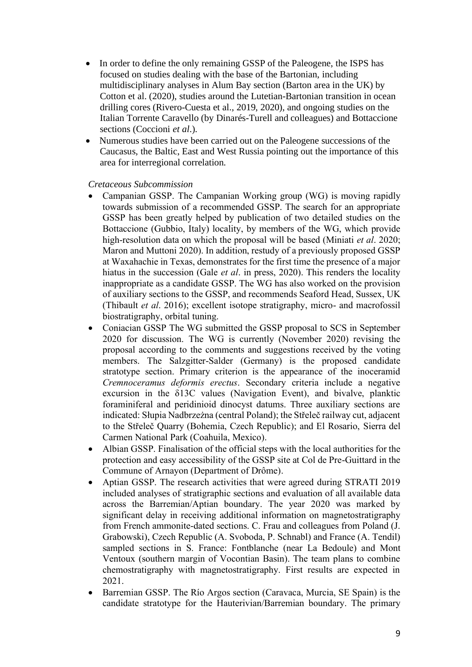- In order to define the only remaining GSSP of the Paleogene, the ISPS has focused on studies dealing with the base of the Bartonian, including multidisciplinary analyses in Alum Bay section (Barton area in the UK) by Cotton et al. (2020), studies around the Lutetian-Bartonian transition in ocean drilling cores (Rivero-Cuesta et al., 2019, 2020), and ongoing studies on the Italian Torrente Caravello (by Dinarés-Turell and colleagues) and Bottaccione sections (Coccioni *et al*.).
- Numerous studies have been carried out on the Paleogene successions of the Caucasus, the Baltic, East and West Russia pointing out the importance of this area for interregional correlation.

#### *Cretaceous Subcommission*

- Campanian GSSP. The Campanian Working group (WG) is moving rapidly towards submission of a recommended GSSP. The search for an appropriate GSSP has been greatly helped by publication of two detailed studies on the Bottaccione (Gubbio, Italy) locality, by members of the WG, which provide high-resolution data on which the proposal will be based (Miniati *et al*. 2020; Maron and Muttoni 2020). In addition, restudy of a previously proposed GSSP at Waxahachie in Texas, demonstrates for the first time the presence of a major hiatus in the succession (Gale *et al*. in press, 2020). This renders the locality inappropriate as a candidate GSSP. The WG has also worked on the provision of auxiliary sections to the GSSP, and recommends Seaford Head, Sussex, UK (Thibault *et al*. 2016); excellent isotope stratigraphy, micro- and macrofossil biostratigraphy, orbital tuning.
- Coniacian GSSP The WG submitted the GSSP proposal to SCS in September 2020 for discussion. The WG is currently (November 2020) revising the proposal according to the comments and suggestions received by the voting members. The Salzgitter-Salder (Germany) is the proposed candidate stratotype section. Primary criterion is the appearance of the inoceramid *Cremnoceramus deformis erectus*. Secondary criteria include a negative excursion in the δ13C values (Navigation Event), and bivalve, planktic foraminiferal and peridinioid dinocyst datums. Three auxiliary sections are indicated: Słupia Nadbrzeżna (central Poland); the Střeleč railway cut, adjacent to the Střeleč Quarry (Bohemia, Czech Republic); and El Rosario, Sierra del Carmen National Park (Coahuila, Mexico).
- Albian GSSP. Finalisation of the official steps with the local authorities for the protection and easy accessibility of the GSSP site at Col de Pre-Guittard in the Commune of Arnayon (Department of Drôme).
- Aptian GSSP. The research activities that were agreed during STRATI 2019 included analyses of stratigraphic sections and evaluation of all available data across the Barremian/Aptian boundary. The year 2020 was marked by significant delay in receiving additional information on magnetostratigraphy from French ammonite-dated sections. C. Frau and colleagues from Poland (J. Grabowski), Czech Republic (A. Svoboda, P. Schnabl) and France (A. Tendil) sampled sections in S. France: Fontblanche (near La Bedoule) and Mont Ventoux (southern margin of Vocontian Basin). The team plans to combine chemostratigraphy with magnetostratigraphy. First results are expected in 2021.
- Barremian GSSP. The Río Argos section (Caravaca, Murcia, SE Spain) is the candidate stratotype for the Hauterivian/Barremian boundary. The primary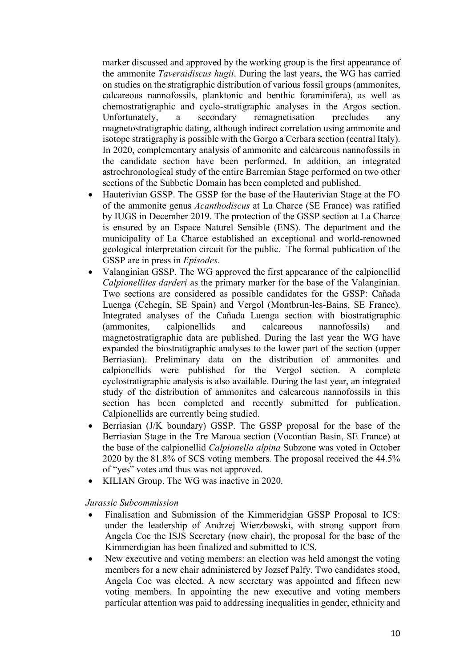marker discussed and approved by the working group is the first appearance of the ammonite *Taveraidiscus hugii*. During the last years, the WG has carried on studies on the stratigraphic distribution of various fossil groups (ammonites, calcareous nannofossils, planktonic and benthic foraminifera), as well as chemostratigraphic and cyclo-stratigraphic analyses in the Argos section. Unfortunately, a secondary remagnetisation precludes any magnetostratigraphic dating, although indirect correlation using ammonite and isotope stratigraphy is possible with the Gorgo a Cerbara section (central Italy). In 2020, complementary analysis of ammonite and calcareous nannofossils in the candidate section have been performed. In addition, an integrated astrochronological study of the entire Barremian Stage performed on two other sections of the Subbetic Domain has been completed and published.

- Hauterivian GSSP. The GSSP for the base of the Hauterivian Stage at the FO of the ammonite genus *Acanthodiscus* at La Charce (SE France) was ratified by IUGS in December 2019. The protection of the GSSP section at La Charce is ensured by an Espace Naturel Sensible (ENS). The department and the municipality of La Charce established an exceptional and world-renowned geological interpretation circuit for the public. The formal publication of the GSSP are in press in *Episodes*.
- Valanginian GSSP. The WG approved the first appearance of the calpionellid *Calpionellites darderi* as the primary marker for the base of the Valanginian. Two sections are considered as possible candidates for the GSSP: Cañada Luenga (Cehegín, SE Spain) and Vergol (Montbrun-les-Bains, SE France). Integrated analyses of the Cañada Luenga section with biostratigraphic (ammonites, calpionellids and calcareous nannofossils) and magnetostratigraphic data are published. During the last year the WG have expanded the biostratigraphic analyses to the lower part of the section (upper Berriasian). Preliminary data on the distribution of ammonites and calpionellids were published for the Vergol section. A complete cyclostratigraphic analysis is also available. During the last year, an integrated study of the distribution of ammonites and calcareous nannofossils in this section has been completed and recently submitted for publication. Calpionellids are currently being studied.
- Berriasian (J/K boundary) GSSP. The GSSP proposal for the base of the Berriasian Stage in the Tre Maroua section (Vocontian Basin, SE France) at the base of the calpionellid *Calpionella alpina* Subzone was voted in October 2020 by the 81.8% of SCS voting members. The proposal received the 44.5% of "yes" votes and thus was not approved.
- KILIAN Group. The WG was inactive in 2020.

*Jurassic Subcommission* 

- Finalisation and Submission of the Kimmeridgian GSSP Proposal to ICS: under the leadership of Andrzej Wierzbowski, with strong support from Angela Coe the ISJS Secretary (now chair), the proposal for the base of the Kimmerdigian has been finalized and submitted to ICS.
- New executive and voting members: an election was held amongst the voting members for a new chair administered by Jozsef Palfy. Two candidates stood, Angela Coe was elected. A new secretary was appointed and fifteen new voting members. In appointing the new executive and voting members particular attention was paid to addressing inequalities in gender, ethnicity and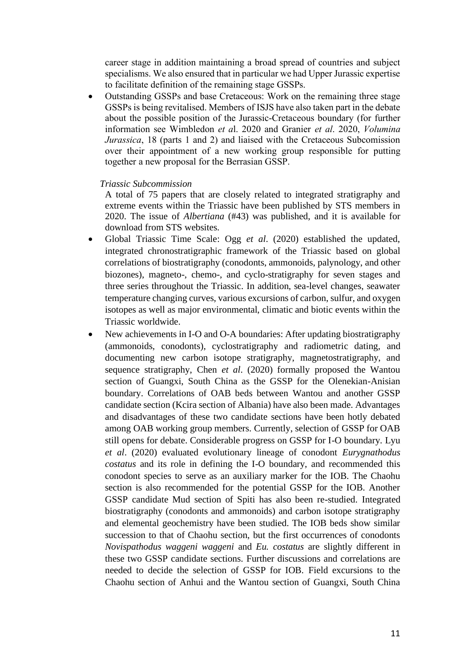career stage in addition maintaining a broad spread of countries and subject specialisms. We also ensured that in particular we had Upper Jurassic expertise to facilitate definition of the remaining stage GSSPs.

• Outstanding GSSPs and base Cretaceous: Work on the remaining three stage GSSPs is being revitalised. Members of ISJS have also taken part in the debate about the possible position of the Jurassic-Cretaceous boundary (for further information see Wimbledon *et a*l. 2020 and Granier *et al*. 2020, *Volumina Jurassica*, 18 (parts 1 and 2) and liaised with the Cretaceous Subcomission over their appointment of a new working group responsible for putting together a new proposal for the Berrasian GSSP.

#### *Triassic Subcommission*

A total of 75 papers that are closely related to integrated stratigraphy and extreme events within the Triassic have been published by STS members in 2020. The issue of *Albertiana* (#43) was published, and it is available for download from STS websites.

- Global Triassic Time Scale: Ogg *et al*. (2020) established the updated, integrated chronostratigraphic framework of the Triassic based on global correlations of biostratigraphy (conodonts, ammonoids, palynology, and other biozones), magneto-, chemo-, and cyclo-stratigraphy for seven stages and three series throughout the Triassic. In addition, sea-level changes, seawater temperature changing curves, various excursions of carbon, sulfur, and oxygen isotopes as well as major environmental, climatic and biotic events within the Triassic worldwide.
- New achievements in I-O and O-A boundaries: After updating biostratigraphy (ammonoids, conodonts), cyclostratigraphy and radiometric dating, and documenting new carbon isotope stratigraphy, magnetostratigraphy, and sequence stratigraphy, Chen *et al*. (2020) formally proposed the Wantou section of Guangxi, South China as the GSSP for the Olenekian-Anisian boundary. Correlations of OAB beds between Wantou and another GSSP candidate section (Kcira section of Albania) have also been made. Advantages and disadvantages of these two candidate sections have been hotly debated among OAB working group members. Currently, selection of GSSP for OAB still opens for debate. Considerable progress on GSSP for I-O boundary. Lyu *et al*. (2020) evaluated evolutionary lineage of conodont *Eurygnathodus costatus* and its role in defining the I-O boundary, and recommended this conodont species to serve as an auxiliary marker for the IOB. The Chaohu section is also recommended for the potential GSSP for the IOB. Another GSSP candidate Mud section of Spiti has also been re-studied. Integrated biostratigraphy (conodonts and ammonoids) and carbon isotope stratigraphy and elemental geochemistry have been studied. The IOB beds show similar succession to that of Chaohu section, but the first occurrences of conodonts *Novispathodus waggeni waggeni* and *Eu. costatus* are slightly different in these two GSSP candidate sections. Further discussions and correlations are needed to decide the selection of GSSP for IOB. Field excursions to the Chaohu section of Anhui and the Wantou section of Guangxi, South China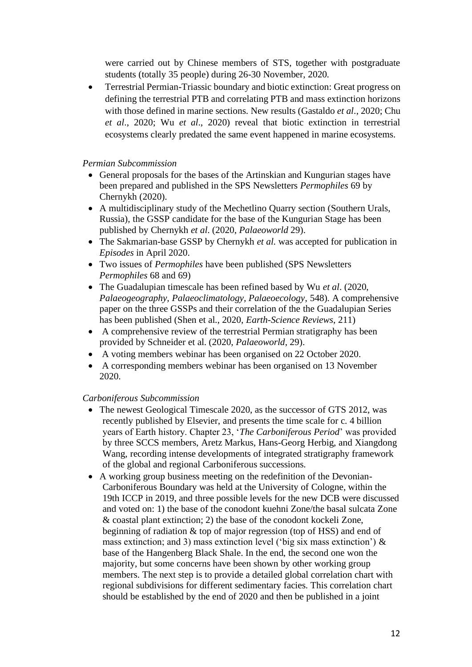were carried out by Chinese members of STS, together with postgraduate students (totally 35 people) during 26-30 November, 2020.

• Terrestrial Permian-Triassic boundary and biotic extinction: Great progress on defining the terrestrial PTB and correlating PTB and mass extinction horizons with those defined in marine sections. New results (Gastaldo *et al*., 2020; Chu *et al*., 2020; Wu *et al*., 2020) reveal that biotic extinction in terrestrial ecosystems clearly predated the same event happened in marine ecosystems.

#### *Permian Subcommission*

- General proposals for the bases of the Artinskian and Kungurian stages have been prepared and published in the SPS Newsletters *Permophiles* 69 by Chernykh (2020).
- A multidisciplinary study of the Mechetlino Quarry section (Southern Urals, Russia), the GSSP candidate for the base of the Kungurian Stage has been published by Chernykh *et al*. (2020, *Palaeoworld* 29).
- The Sakmarian-base GSSP by Chernykh *et al*. was accepted for publication in *Episodes* in April 2020.
- Two issues of *Permophiles* have been published (SPS Newsletters *Permophiles* 68 and 69)
- The Guadalupian timescale has been refined based by Wu *et al*. (2020, *Palaeogeography, Palaeoclimatology, Palaeoecology*, 548). A comprehensive paper on the three GSSPs and their correlation of the the Guadalupian Series has been published (Shen et al., 2020, *Earth-Science Reviews*, 211)
- A comprehensive review of the terrestrial Permian stratigraphy has been provided by Schneider et al. (2020, *Palaeoworld*, 29).
- A voting members webinar has been organised on 22 October 2020.
- A corresponding members webinar has been organised on 13 November 2020.

#### *Carboniferous Subcommission*

- The newest Geological Timescale 2020, as the successor of GTS 2012, was recently published by Elsevier, and presents the time scale for c. 4 billion years of Earth history. Chapter 23, '*The Carboniferous Period*' was provided by three SCCS members, Aretz Markus, Hans-Georg Herbig, and Xiangdong Wang, recording intense developments of integrated stratigraphy framework of the global and regional Carboniferous successions.
- A working group business meeting on the redefinition of the Devonian-Carboniferous Boundary was held at the University of Cologne, within the 19th ICCP in 2019, and three possible levels for the new DCB were discussed and voted on: 1) the base of the conodont kuehni Zone/the basal sulcata Zone & coastal plant extinction; 2) the base of the conodont kockeli Zone, beginning of radiation & top of major regression (top of HSS) and end of mass extinction; and 3) mass extinction level ('big six mass extinction') & base of the Hangenberg Black Shale. In the end, the second one won the majority, but some concerns have been shown by other working group members. The next step is to provide a detailed global correlation chart with regional subdivisions for different sedimentary facies. This correlation chart should be established by the end of 2020 and then be published in a joint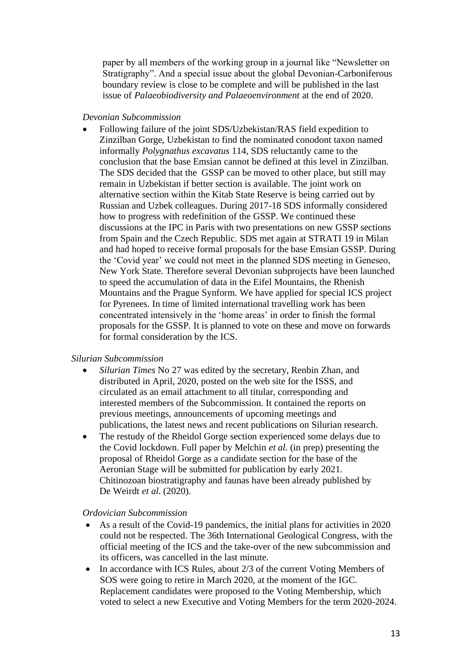paper by all members of the working group in a journal like "Newsletter on Stratigraphy". And a special issue about the global Devonian-Carboniferous boundary review is close to be complete and will be published in the last issue of *Palaeobiodiversity and Palaeoenvironment* at the end of 2020.

#### *Devonian Subcommission*

• Following failure of the joint SDS/Uzbekistan/RAS field expedition to Zinzilban Gorge, Uzbekistan to find the nominated conodont taxon named informally *Polygnathus excavatus* 114, SDS reluctantly came to the conclusion that the base Emsian cannot be defined at this level in Zinzilban. The SDS decided that the GSSP can be moved to other place, but still may remain in Uzbekistan if better section is available. The joint work on alternative section within the Kitab State Reserve is being carried out by Russian and Uzbek colleagues. During 2017-18 SDS informally considered how to progress with redefinition of the GSSP. We continued these discussions at the IPC in Paris with two presentations on new GSSP sections from Spain and the Czech Republic. SDS met again at STRATI 19 in Milan and had hoped to receive formal proposals for the base Emsian GSSP. During the 'Covid year' we could not meet in the planned SDS meeting in Geneseo, New York State. Therefore several Devonian subprojects have been launched to speed the accumulation of data in the Eifel Mountains, the Rhenish Mountains and the Prague Synform. We have applied for special ICS project for Pyrenees. In time of limited international travelling work has been concentrated intensively in the 'home areas' in order to finish the formal proposals for the GSSP. It is planned to vote on these and move on forwards for formal consideration by the ICS.

#### *Silurian Subcommission*

- *Silurian Times* No 27 was edited by the secretary, Renbin Zhan, and distributed in April, 2020, posted on the web site for the ISSS, and circulated as an email attachment to all titular, corresponding and interested members of the Subcommission. It contained the reports on previous meetings, announcements of upcoming meetings and publications, the latest news and recent publications on Silurian research.
- The restudy of the Rheidol Gorge section experienced some delays due to the Covid lockdown. Full paper by Melchin *et al.* (in prep) presenting the proposal of Rheidol Gorge as a candidate section for the base of the Aeronian Stage will be submitted for publication by early 2021. Chitinozoan biostratigraphy and faunas have been already published by De Weirdt *et al*. (2020).

#### *Ordovician Subcommission*

- As a result of the Covid-19 pandemics, the initial plans for activities in 2020 could not be respected. The 36th International Geological Congress, with the official meeting of the ICS and the take-over of the new subcommission and its officers, was cancelled in the last minute.
- In accordance with ICS Rules, about 2/3 of the current Voting Members of SOS were going to retire in March 2020, at the moment of the IGC. Replacement candidates were proposed to the Voting Membership, which voted to select a new Executive and Voting Members for the term 2020-2024.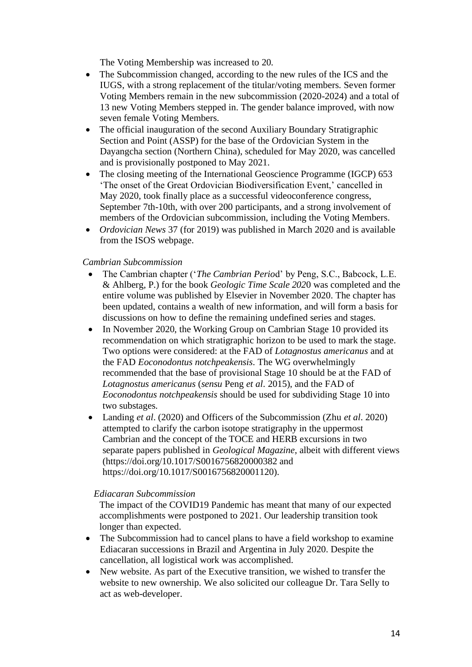The Voting Membership was increased to 20.

- The Subcommission changed, according to the new rules of the ICS and the IUGS, with a strong replacement of the titular/voting members. Seven former Voting Members remain in the new subcommission (2020-2024) and a total of 13 new Voting Members stepped in. The gender balance improved, with now seven female Voting Members.
- The official inauguration of the second Auxiliary Boundary Stratigraphic Section and Point (ASSP) for the base of the Ordovician System in the Dayangcha section (Northern China), scheduled for May 2020, was cancelled and is provisionally postponed to May 2021.
- The closing meeting of the International Geoscience Programme (IGCP) 653 'The onset of the Great Ordovician Biodiversification Event,' cancelled in May 2020, took finally place as a successful videoconference congress, September 7th-10th, with over 200 participants, and a strong involvement of members of the Ordovician subcommission, including the Voting Members.
- *Ordovician News* 37 (for 2019) was published in March 2020 and is available from the ISOS webpage.

### *Cambrian Subcommission*

- The Cambrian chapter ('*The Cambrian Perio*d' by Peng, S.C., Babcock, L.E. & Ahlberg, P.) for the book *Geologic Time Scale 202*0 was completed and the entire volume was published by Elsevier in November 2020. The chapter has been updated, contains a wealth of new information, and will form a basis for discussions on how to define the remaining undefined series and stages.
- In November 2020, the Working Group on Cambrian Stage 10 provided its recommendation on which stratigraphic horizon to be used to mark the stage. Two options were considered: at the FAD of *Lotagnostus americanus* and at the FAD *Eoconodontus notchpeakensis*. The WG overwhelmingly recommended that the base of provisional Stage 10 should be at the FAD of *Lotagnostus americanus* (*sensu* Peng *et al*. 2015), and the FAD of *Eoconodontus notchpeakensis* should be used for subdividing Stage 10 into two substages.
- Landing *et al*. (2020) and Officers of the Subcommission (Zhu *et al*. 2020) attempted to clarify the carbon isotope stratigraphy in the uppermost Cambrian and the concept of the TOCE and HERB excursions in two separate papers published in *Geological Magazine*, albeit with different views (https://doi.org/10.1017/S0016756820000382 and https://doi.org/10.1017/S0016756820001120).

### *Ediacaran Subcommission*

The impact of the COVID19 Pandemic has meant that many of our expected accomplishments were postponed to 2021. Our leadership transition took longer than expected.

- The Subcommission had to cancel plans to have a field workshop to examine Ediacaran successions in Brazil and Argentina in July 2020. Despite the cancellation, all logistical work was accomplished.
- New website. As part of the Executive transition, we wished to transfer the website to new ownership. We also solicited our colleague Dr. Tara Selly to act as web-developer.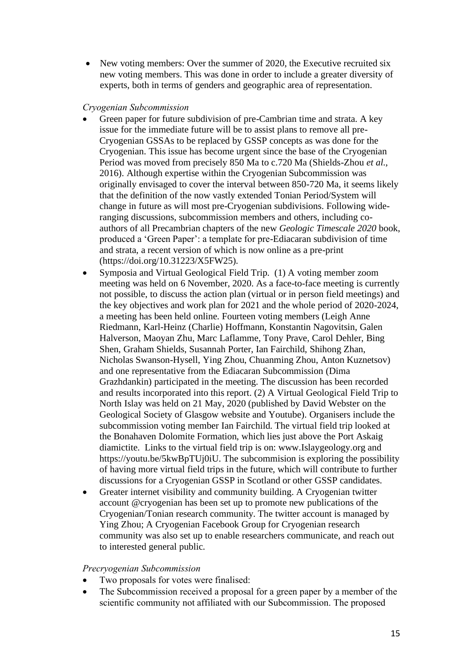• New voting members: Over the summer of 2020, the Executive recruited six new voting members. This was done in order to include a greater diversity of experts, both in terms of genders and geographic area of representation.

#### *Cryogenian Subcommission*

- Green paper for future subdivision of pre-Cambrian time and strata. A key issue for the immediate future will be to assist plans to remove all pre-Cryogenian GSSAs to be replaced by GSSP concepts as was done for the Cryogenian. This issue has become urgent since the base of the Cryogenian Period was moved from precisely 850 Ma to c.720 Ma (Shields-Zhou *et al*., 2016). Although expertise within the Cryogenian Subcommission was originally envisaged to cover the interval between 850-720 Ma, it seems likely that the definition of the now vastly extended Tonian Period/System will change in future as will most pre-Cryogenian subdivisions. Following wideranging discussions, subcommission members and others, including coauthors of all Precambrian chapters of the new *Geologic Timescale 2020* book, produced a 'Green Paper': a template for pre-Ediacaran subdivision of time and strata, a recent version of which is now online as a pre-print (https://doi.org/10.31223/X5FW25).
- Symposia and Virtual Geological Field Trip. (1) A voting member zoom meeting was held on 6 November, 2020. As a face-to-face meeting is currently not possible, to discuss the action plan (virtual or in person field meetings) and the key objectives and work plan for 2021 and the whole period of 2020-2024, a meeting has been held online. Fourteen voting members (Leigh Anne Riedmann, Karl-Heinz (Charlie) Hoffmann, Konstantin Nagovitsin, Galen Halverson, Maoyan Zhu, Marc Laflamme, Tony Prave, Carol Dehler, Bing Shen, Graham Shields, Susannah Porter, Ian Fairchild, Shihong Zhan, Nicholas Swanson-Hysell, Ying Zhou, Chuanming Zhou, Anton Kuznetsov) and one representative from the Ediacaran Subcommission (Dima Grazhdankin) participated in the meeting. The discussion has been recorded and results incorporated into this report. (2) A Virtual Geological Field Trip to North Islay was held on 21 May, 2020 (published by David Webster on the Geological Society of Glasgow website and Youtube). Organisers include the subcommission voting member Ian Fairchild. The virtual field trip looked at the Bonahaven Dolomite Formation, which lies just above the Port Askaig diamictite. Links to the virtual field trip is on: www.Islaygeology.org and https://youtu.be/5kwBpTUj0iU. The subcommision is exploring the possibility of having more virtual field trips in the future, which will contribute to further discussions for a Cryogenian GSSP in Scotland or other GSSP candidates.
- Greater internet visibility and community building. A Cryogenian twitter account @cryogenian has been set up to promote new publications of the Cryogenian/Tonian research community. The twitter account is managed by Ying Zhou; A Cryogenian Facebook Group for Cryogenian research community was also set up to enable researchers communicate, and reach out to interested general public.

#### *Precryogenian Subcommission*

- Two proposals for votes were finalised:
- The Subcommission received a proposal for a green paper by a member of the scientific community not affiliated with our Subcommission. The proposed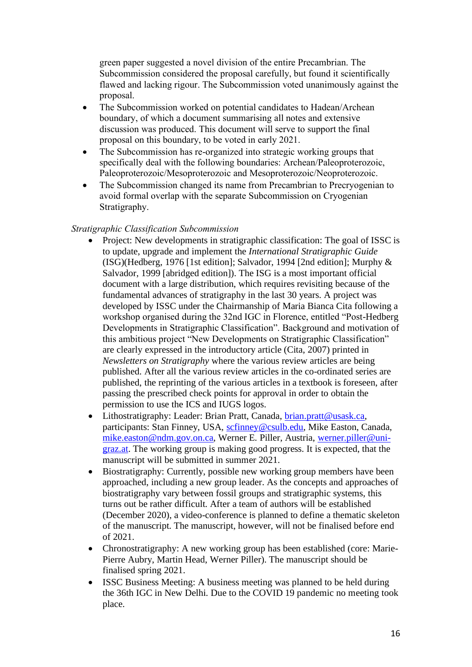green paper suggested a novel division of the entire Precambrian. The Subcommission considered the proposal carefully, but found it scientifically flawed and lacking rigour. The Subcommission voted unanimously against the proposal.

- The Subcommission worked on potential candidates to Hadean/Archean boundary, of which a document summarising all notes and extensive discussion was produced. This document will serve to support the final proposal on this boundary, to be voted in early 2021.
- The Subcommission has re-organized into strategic working groups that specifically deal with the following boundaries: Archean/Paleoproterozoic, Paleoproterozoic/Mesoproterozoic and Mesoproterozoic/Neoproterozoic.
- The Subcommission changed its name from Precambrian to Precryogenian to avoid formal overlap with the separate Subcommission on Cryogenian Stratigraphy.

### *Stratigraphic Classification Subcommission*

- Project: New developments in stratigraphic classification: The goal of ISSC is to update, upgrade and implement the *International Stratigraphic Guide* (ISG)(Hedberg, 1976 [1st edition]; Salvador, 1994 [2nd edition]; Murphy & Salvador, 1999 [abridged edition]). The ISG is a most important official document with a large distribution, which requires revisiting because of the fundamental advances of stratigraphy in the last 30 years. A project was developed by ISSC under the Chairmanship of Maria Bianca Cita following a workshop organised during the 32nd IGC in Florence, entitled "Post-Hedberg Developments in Stratigraphic Classification". Background and motivation of this ambitious project "New Developments on Stratigraphic Classification" are clearly expressed in the introductory article (Cita, 2007) printed in *Newsletters on Stratigraphy* where the various review articles are being published. After all the various review articles in the co-ordinated series are published, the reprinting of the various articles in a textbook is foreseen, after passing the prescribed check points for approval in order to obtain the permission to use the ICS and IUGS logos.
- Lithostratigraphy: Leader: Brian Pratt, Canada, [brian.pratt@usask.ca,](mailto:brian.pratt@usask.ca) participants: Stan Finney, USA, [scfinney@csulb.edu,](mailto:scfinney@csulb.edu) Mike Easton, Canada, [mike.easton@ndm.gov.on.ca,](mailto:mike.easton@ndm.gov.on.ca) Werner E. Piller, Austria, [werner.piller@uni](mailto:werner.piller@uni-graz.at)[graz.at.](mailto:werner.piller@uni-graz.at) The working group is making good progress. It is expected, that the manuscript will be submitted in summer 2021.
- Biostratigraphy: Currently, possible new working group members have been approached, including a new group leader. As the concepts and approaches of biostratigraphy vary between fossil groups and stratigraphic systems, this turns out be rather difficult. After a team of authors will be established (December 2020), a video-conference is planned to define a thematic skeleton of the manuscript. The manuscript, however, will not be finalised before end of 2021.
- Chronostratigraphy: A new working group has been established (core: Marie-Pierre Aubry, Martin Head, Werner Piller). The manuscript should be finalised spring 2021.
- ISSC Business Meeting: A business meeting was planned to be held during the 36th IGC in New Delhi. Due to the COVID 19 pandemic no meeting took place.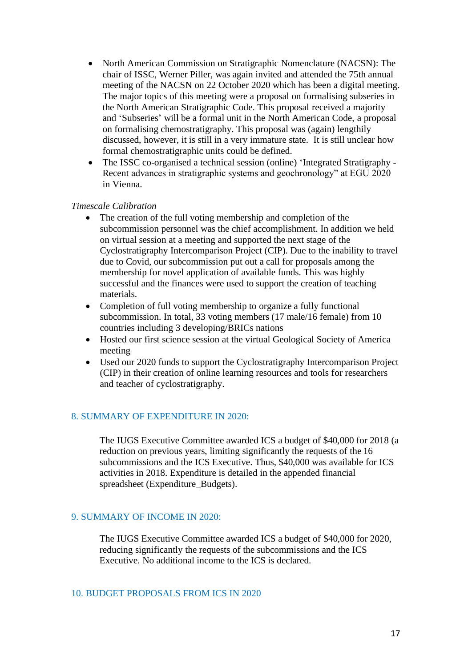- North American Commission on Stratigraphic Nomenclature (NACSN): The chair of ISSC, Werner Piller, was again invited and attended the 75th annual meeting of the NACSN on 22 October 2020 which has been a digital meeting. The major topics of this meeting were a proposal on formalising subseries in the North American Stratigraphic Code. This proposal received a majority and 'Subseries' will be a formal unit in the North American Code, a proposal on formalising chemostratigraphy. This proposal was (again) lengthily discussed, however, it is still in a very immature state. It is still unclear how formal chemostratigraphic units could be defined.
- The ISSC co-organised a technical session (online) 'Integrated Stratigraphy Recent advances in stratigraphic systems and geochronology" at EGU 2020 in Vienna.

#### *Timescale Calibration*

- The creation of the full voting membership and completion of the subcommission personnel was the chief accomplishment. In addition we held on virtual session at a meeting and supported the next stage of the Cyclostratigraphy Intercomparison Project (CIP). Due to the inability to travel due to Covid, our subcommission put out a call for proposals among the membership for novel application of available funds. This was highly successful and the finances were used to support the creation of teaching materials.
- Completion of full voting membership to organize a fully functional subcommission. In total, 33 voting members (17 male/16 female) from 10 countries including 3 developing/BRICs nations
- Hosted our first science session at the virtual Geological Society of America meeting
- Used our 2020 funds to support the Cyclostratigraphy Intercomparison Project (CIP) in their creation of online learning resources and tools for researchers and teacher of cyclostratigraphy.

### 8. SUMMARY OF EXPENDITURE IN 2020:

The IUGS Executive Committee awarded ICS a budget of \$40,000 for 2018 (a reduction on previous years, limiting significantly the requests of the 16 subcommissions and the ICS Executive. Thus, \$40,000 was available for ICS activities in 2018. Expenditure is detailed in the appended financial spreadsheet (Expenditure\_Budgets).

#### 9. SUMMARY OF INCOME IN 2020:

The IUGS Executive Committee awarded ICS a budget of \$40,000 for 2020, reducing significantly the requests of the subcommissions and the ICS Executive. No additional income to the ICS is declared.

#### 10. BUDGET PROPOSALS FROM ICS IN 2020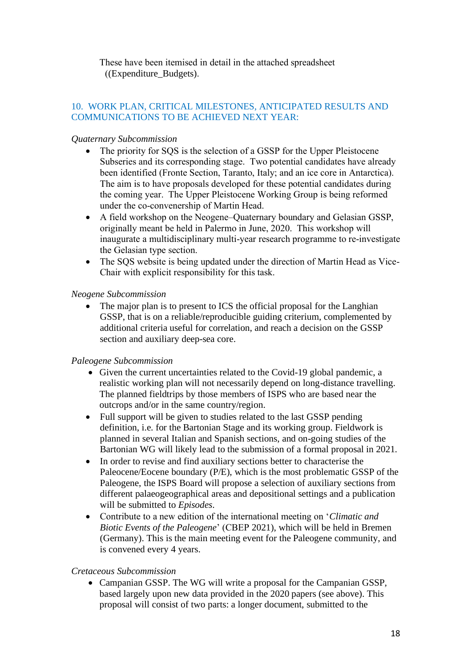These have been itemised in detail in the attached spreadsheet ((Expenditure\_Budgets).

### 10. WORK PLAN, CRITICAL MILESTONES, ANTICIPATED RESULTS AND COMMUNICATIONS TO BE ACHIEVED NEXT YEAR:

### *Quaternary Subcommission*

- The priority for SQS is the selection of a GSSP for the Upper Pleistocene Subseries and its corresponding stage. Two potential candidates have already been identified (Fronte Section, Taranto, Italy; and an ice core in Antarctica). The aim is to have proposals developed for these potential candidates during the coming year. The Upper Pleistocene Working Group is being reformed under the co-convenership of Martin Head.
- A field workshop on the Neogene–Quaternary boundary and Gelasian GSSP, originally meant be held in Palermo in June, 2020. This workshop will inaugurate a multidisciplinary multi-year research programme to re-investigate the Gelasian type section.
- The SQS website is being updated under the direction of Martin Head as Vice-Chair with explicit responsibility for this task.

### *Neogene Subcommission*

The major plan is to present to ICS the official proposal for the Langhian GSSP, that is on a reliable/reproducible guiding criterium, complemented by additional criteria useful for correlation, and reach a decision on the GSSP section and auxiliary deep-sea core.

### *Paleogene Subcommission*

- Given the current uncertainties related to the Covid-19 global pandemic, a realistic working plan will not necessarily depend on long-distance travelling. The planned fieldtrips by those members of ISPS who are based near the outcrops and/or in the same country/region.
- Full support will be given to studies related to the last GSSP pending definition, i.e. for the Bartonian Stage and its working group. Fieldwork is planned in several Italian and Spanish sections, and on-going studies of the Bartonian WG will likely lead to the submission of a formal proposal in 2021.
- In order to revise and find auxiliary sections better to characterise the Paleocene/Eocene boundary (P/E), which is the most problematic GSSP of the Paleogene, the ISPS Board will propose a selection of auxiliary sections from different palaeogeographical areas and depositional settings and a publication will be submitted to *Episodes*.
- Contribute to a new edition of the international meeting on '*Climatic and Biotic Events of the Paleogene*' (CBEP 2021), which will be held in Bremen (Germany). This is the main meeting event for the Paleogene community, and is convened every 4 years.

### *Cretaceous Subcommission*

• Campanian GSSP. The WG will write a proposal for the Campanian GSSP, based largely upon new data provided in the 2020 papers (see above). This proposal will consist of two parts: a longer document, submitted to the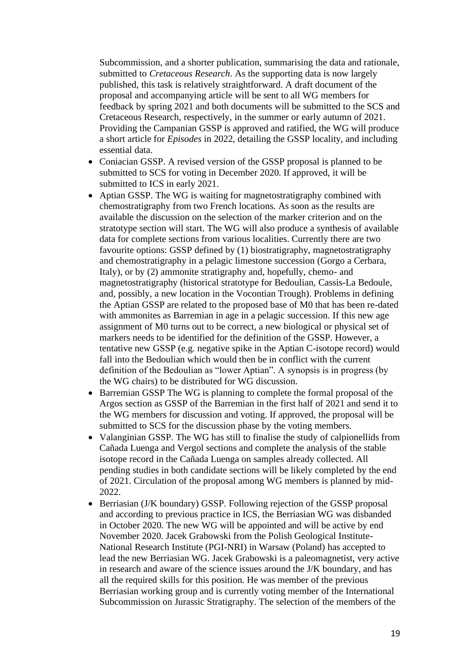Subcommission, and a shorter publication, summarising the data and rationale, submitted to *Cretaceous Research*. As the supporting data is now largely published, this task is relatively straightforward. A draft document of the proposal and accompanying article will be sent to all WG members for feedback by spring 2021 and both documents will be submitted to the SCS and Cretaceous Research, respectively, in the summer or early autumn of 2021. Providing the Campanian GSSP is approved and ratified, the WG will produce a short article for *Episodes* in 2022, detailing the GSSP locality, and including essential data.

- Coniacian GSSP. A revised version of the GSSP proposal is planned to be submitted to SCS for voting in December 2020. If approved, it will be submitted to ICS in early 2021.
- Aptian GSSP. The WG is waiting for magnetostratigraphy combined with chemostratigraphy from two French locations. As soon as the results are available the discussion on the selection of the marker criterion and on the stratotype section will start. The WG will also produce a synthesis of available data for complete sections from various localities. Currently there are two favourite options: GSSP defined by (1) biostratigraphy, magnetostratigraphy and chemostratigraphy in a pelagic limestone succession (Gorgo a Cerbara, Italy), or by (2) ammonite stratigraphy and, hopefully, chemo- and magnetostratigraphy (historical stratotype for Bedoulian, Cassis-La Bedoule, and, possibly, a new location in the Vocontian Trough). Problems in defining the Aptian GSSP are related to the proposed base of M0 that has been re-dated with ammonites as Barremian in age in a pelagic succession. If this new age assignment of M0 turns out to be correct, a new biological or physical set of markers needs to be identified for the definition of the GSSP. However, a tentative new GSSP (e.g. negative spike in the Aptian C-isotope record) would fall into the Bedoulian which would then be in conflict with the current definition of the Bedoulian as "lower Aptian". A synopsis is in progress (by the WG chairs) to be distributed for WG discussion.
- Barremian GSSP The WG is planning to complete the formal proposal of the Argos section as GSSP of the Barremian in the first half of 2021 and send it to the WG members for discussion and voting. If approved, the proposal will be submitted to SCS for the discussion phase by the voting members.
- Valanginian GSSP. The WG has still to finalise the study of calpionellids from Cañada Luenga and Vergol sections and complete the analysis of the stable isotope record in the Cañada Luenga on samples already collected. All pending studies in both candidate sections will be likely completed by the end of 2021. Circulation of the proposal among WG members is planned by mid-2022.
- Berriasian (J/K boundary) GSSP. Following rejection of the GSSP proposal and according to previous practice in ICS, the Berriasian WG was disbanded in October 2020. The new WG will be appointed and will be active by end November 2020. Jacek Grabowski from the Polish Geological Institute-National Research Institute (PGI-NRI) in Warsaw (Poland) has accepted to lead the new Berriasian WG. Jacek Grabowski is a paleomagnetist, very active in research and aware of the science issues around the J/K boundary, and has all the required skills for this position. He was member of the previous Berriasian working group and is currently voting member of the International Subcommission on Jurassic Stratigraphy. The selection of the members of the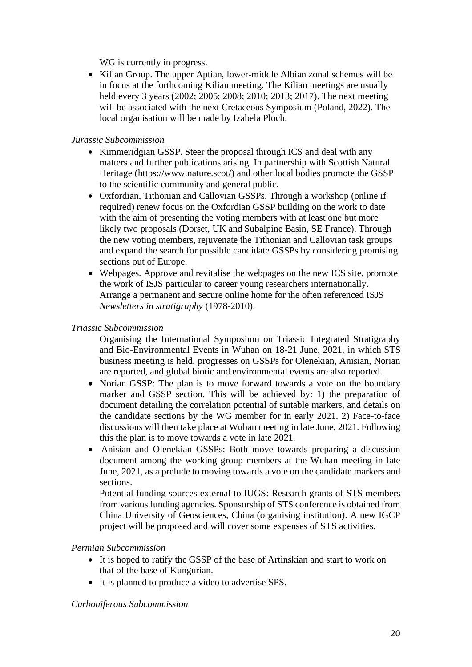WG is currently in progress.

• Kilian Group. The upper Aptian, lower-middle Albian zonal schemes will be in focus at the forthcoming Kilian meeting. The Kilian meetings are usually held every 3 years (2002; 2005; 2008; 2010; 2013; 2017). The next meeting will be associated with the next Cretaceous Symposium (Poland, 2022). The local organisation will be made by Izabela Ploch.

#### *Jurassic Subcommission*

- Kimmeridgian GSSP. Steer the proposal through ICS and deal with any matters and further publications arising. In partnership with Scottish Natural Heritage (https://www.nature.scot/) and other local bodies promote the GSSP to the scientific community and general public.
- Oxfordian, Tithonian and Callovian GSSPs. Through a workshop (online if required) renew focus on the Oxfordian GSSP building on the work to date with the aim of presenting the voting members with at least one but more likely two proposals (Dorset, UK and Subalpine Basin, SE France). Through the new voting members, rejuvenate the Tithonian and Callovian task groups and expand the search for possible candidate GSSPs by considering promising sections out of Europe.
- Webpages. Approve and revitalise the webpages on the new ICS site, promote the work of ISJS particular to career young researchers internationally. Arrange a permanent and secure online home for the often referenced ISJS *Newsletters in stratigraphy* (1978-2010).

### *Triassic Subcommission*

Organising the International Symposium on Triassic Integrated Stratigraphy and Bio-Environmental Events in Wuhan on 18-21 June, 2021, in which STS business meeting is held, progresses on GSSPs for Olenekian, Anisian, Norian are reported, and global biotic and environmental events are also reported.

- Norian GSSP: The plan is to move forward towards a vote on the boundary marker and GSSP section. This will be achieved by: 1) the preparation of document detailing the correlation potential of suitable markers, and details on the candidate sections by the WG member for in early 2021. 2) Face-to-face discussions will then take place at Wuhan meeting in late June, 2021. Following this the plan is to move towards a vote in late 2021.
- Anisian and Olenekian GSSPs: Both move towards preparing a discussion document among the working group members at the Wuhan meeting in late June, 2021, as a prelude to moving towards a vote on the candidate markers and sections.

Potential funding sources external to IUGS: Research grants of STS members from various funding agencies. Sponsorship of STS conference is obtained from China University of Geosciences, China (organising institution). A new IGCP project will be proposed and will cover some expenses of STS activities.

#### *Permian Subcommission*

- It is hoped to ratify the GSSP of the base of Artinskian and start to work on that of the base of Kungurian.
- It is planned to produce a video to advertise SPS.

### *Carboniferous Subcommission*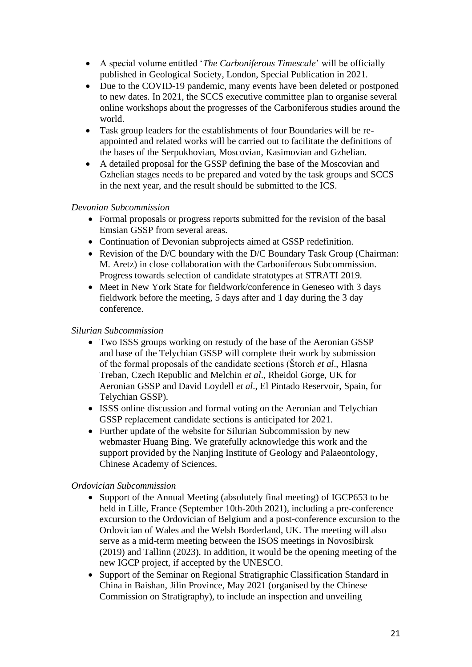- A special volume entitled '*The Carboniferous Timescale*' will be officially published in Geological Society, London, Special Publication in 2021.
- Due to the COVID-19 pandemic, many events have been deleted or postponed to new dates. In 2021, the SCCS executive committee plan to organise several online workshops about the progresses of the Carboniferous studies around the world.
- Task group leaders for the establishments of four Boundaries will be reappointed and related works will be carried out to facilitate the definitions of the bases of the Serpukhovian, Moscovian, Kasimovian and Gzhelian.
- A detailed proposal for the GSSP defining the base of the Moscovian and Gzhelian stages needs to be prepared and voted by the task groups and SCCS in the next year, and the result should be submitted to the ICS.

### *Devonian Subcommission*

- Formal proposals or progress reports submitted for the revision of the basal Emsian GSSP from several areas.
- Continuation of Devonian subprojects aimed at GSSP redefinition.
- Revision of the D/C boundary with the D/C Boundary Task Group (Chairman: M. Aretz) in close collaboration with the Carboniferous Subcommission. Progress towards selection of candidate stratotypes at STRATI 2019.
- Meet in New York State for fieldwork/conference in Geneseo with 3 days fieldwork before the meeting, 5 days after and 1 day during the 3 day conference.

### *Silurian Subcommission*

- Two ISSS groups working on restudy of the base of the Aeronian GSSP and base of the Telychian GSSP will complete their work by submission of the formal proposals of the candidate sections (Štorch *et al*., Hlasna Treban, Czech Republic and Melchin *et al*., Rheidol Gorge, UK for Aeronian GSSP and David Loydell *et al*., El Pintado Reservoir, Spain, for Telychian GSSP).
- ISSS online discussion and formal voting on the Aeronian and Telychian GSSP replacement candidate sections is anticipated for 2021.
- Further update of the website for Silurian Subcommission by new webmaster Huang Bing. We gratefully acknowledge this work and the support provided by the Nanjing Institute of Geology and Palaeontology, Chinese Academy of Sciences.

### *Ordovician Subcommission*

- Support of the Annual Meeting (absolutely final meeting) of IGCP653 to be held in Lille, France (September 10th-20th 2021), including a pre-conference excursion to the Ordovician of Belgium and a post-conference excursion to the Ordovician of Wales and the Welsh Borderland, UK. The meeting will also serve as a mid-term meeting between the ISOS meetings in Novosibirsk (2019) and Tallinn (2023). In addition, it would be the opening meeting of the new IGCP project, if accepted by the UNESCO.
- Support of the Seminar on Regional Stratigraphic Classification Standard in China in Baishan, Jilin Province, May 2021 (organised by the Chinese Commission on Stratigraphy), to include an inspection and unveiling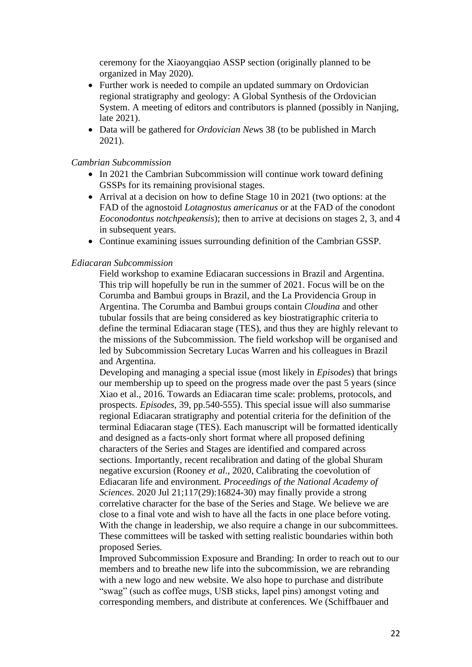ceremony for the Xiaoyangqiao ASSP section (originally planned to be organized in May 2020).

- Further work is needed to compile an updated summary on Ordovician regional stratigraphy and geology: A Global Synthesis of the Ordovician System. A meeting of editors and contributors is planned (possibly in Nanjing, late 2021).
- Data will be gathered for *Ordovician New*s 38 (to be published in March 2021).

#### *Cambrian Subcommission*

- In 2021 the Cambrian Subcommission will continue work toward defining GSSPs for its remaining provisional stages.
- Arrival at a decision on how to define Stage 10 in 2021 (two options: at the FAD of the agnostoid *Lotagnostus americanus* or at the FAD of the conodont *Eoconodontus notchpeakensis*); then to arrive at decisions on stages 2, 3, and 4 in subsequent years.
- Continue examining issues surrounding definition of the Cambrian GSSP.

#### *Ediacaran Subcommission*

Field workshop to examine Ediacaran successions in Brazil and Argentina. This trip will hopefully be run in the summer of 2021. Focus will be on the Corumba and Bambui groups in Brazil, and the La Providencia Group in Argentina. The Corumba and Bambui groups contain *Cloudina* and other tubular fossils that are being considered as key biostratigraphic criteria to define the terminal Ediacaran stage (TES), and thus they are highly relevant to the missions of the Subcommission. The field workshop will be organised and led by Subcommission Secretary Lucas Warren and his colleagues in Brazil and Argentina.

Developing and managing a special issue (most likely in *Episodes*) that brings our membership up to speed on the progress made over the past 5 years (since Xiao et al., 2016. Towards an Ediacaran time scale: problems, protocols, and prospects. *Episodes*, 39, pp.540-555). This special issue will also summarise regional Ediacaran stratigraphy and potential criteria for the definition of the terminal Ediacaran stage (TES). Each manuscript will be formatted identically and designed as a facts-only short format where all proposed defining characters of the Series and Stages are identified and compared across sections. Importantly, recent recalibration and dating of the global Shuram negative excursion (Rooney *et al*., 2020, Calibrating the coevolution of Ediacaran life and environment. *Proceedings of the National Academy of Sciences*. 2020 Jul 21;117(29):16824-30) may finally provide a strong correlative character for the base of the Series and Stage. We believe we are close to a final vote and wish to have all the facts in one place before voting. With the change in leadership, we also require a change in our subcommittees. These committees will be tasked with setting realistic boundaries within both proposed Series.

Improved Subcommission Exposure and Branding: In order to reach out to our members and to breathe new life into the subcommission, we are rebranding with a new logo and new website. We also hope to purchase and distribute "swag" (such as coffee mugs, USB sticks, lapel pins) amongst voting and corresponding members, and distribute at conferences. We (Schiffbauer and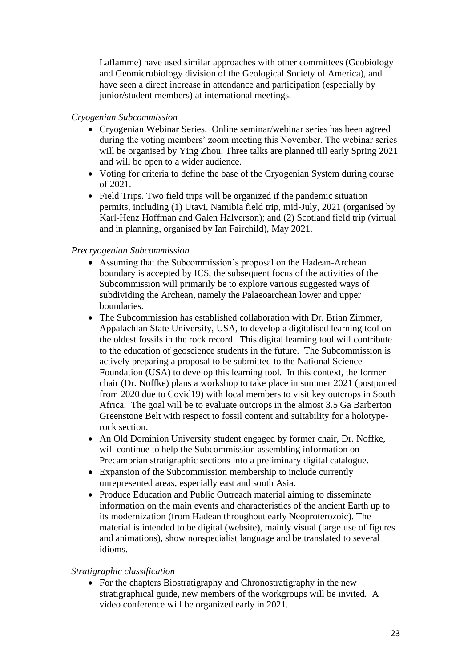Laflamme) have used similar approaches with other committees (Geobiology and Geomicrobiology division of the Geological Society of America), and have seen a direct increase in attendance and participation (especially by junior/student members) at international meetings.

### *Cryogenian Subcommission*

- Cryogenian Webinar Series. Online seminar/webinar series has been agreed during the voting members' zoom meeting this November. The webinar series will be organised by Ying Zhou. Three talks are planned till early Spring 2021 and will be open to a wider audience.
- Voting for criteria to define the base of the Cryogenian System during course of 2021.
- Field Trips. Two field trips will be organized if the pandemic situation permits, including (1) Utavi, Namibia field trip, mid-July, 2021 (organised by Karl-Henz Hoffman and Galen Halverson); and (2) Scotland field trip (virtual and in planning, organised by Ian Fairchild), May 2021.

#### *Precryogenian Subcommission*

- Assuming that the Subcommission's proposal on the Hadean-Archean boundary is accepted by ICS, the subsequent focus of the activities of the Subcommission will primarily be to explore various suggested ways of subdividing the Archean, namely the Palaeoarchean lower and upper boundaries.
- The Subcommission has established collaboration with Dr. Brian Zimmer, Appalachian State University, USA, to develop a digitalised learning tool on the oldest fossils in the rock record. This digital learning tool will contribute to the education of geoscience students in the future. The Subcommission is actively preparing a proposal to be submitted to the National Science Foundation (USA) to develop this learning tool. In this context, the former chair (Dr. Noffke) plans a workshop to take place in summer 2021 (postponed from 2020 due to Covid19) with local members to visit key outcrops in South Africa. The goal will be to evaluate outcrops in the almost 3.5 Ga Barberton Greenstone Belt with respect to fossil content and suitability for a holotyperock section.
- An Old Dominion University student engaged by former chair, Dr. Noffke, will continue to help the Subcommission assembling information on Precambrian stratigraphic sections into a preliminary digital catalogue.
- Expansion of the Subcommission membership to include currently unrepresented areas, especially east and south Asia.
- Produce Education and Public Outreach material aiming to disseminate information on the main events and characteristics of the ancient Earth up to its modernization (from Hadean throughout early Neoproterozoic). The material is intended to be digital (website), mainly visual (large use of figures and animations), show nonspecialist language and be translated to several idioms.

#### *Stratigraphic classification*

• For the chapters Biostratigraphy and Chronostratigraphy in the new stratigraphical guide, new members of the workgroups will be invited. A video conference will be organized early in 2021.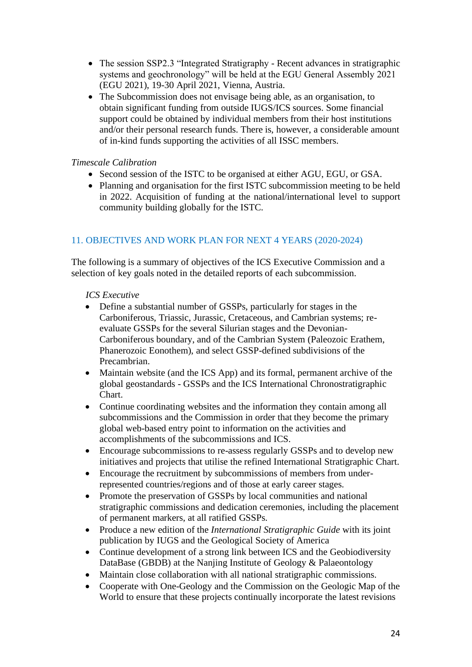- The session SSP2.3 "Integrated Stratigraphy Recent advances in stratigraphic systems and geochronology" will be held at the EGU General Assembly 2021 (EGU 2021), 19-30 April 2021, Vienna, Austria.
- The Subcommission does not envisage being able, as an organisation, to obtain significant funding from outside IUGS/ICS sources. Some financial support could be obtained by individual members from their host institutions and/or their personal research funds. There is, however, a considerable amount of in-kind funds supporting the activities of all ISSC members.

### *Timescale Calibration*

- Second session of the ISTC to be organised at either AGU, EGU, or GSA.
- Planning and organisation for the first ISTC subcommission meeting to be held in 2022. Acquisition of funding at the national/international level to support community building globally for the ISTC.

### 11. OBJECTIVES AND WORK PLAN FOR NEXT 4 YEARS (2020-2024)

The following is a summary of objectives of the ICS Executive Commission and a selection of key goals noted in the detailed reports of each subcommission.

#### *ICS Executive*

- Define a substantial number of GSSPs, particularly for stages in the Carboniferous, Triassic, Jurassic, Cretaceous, and Cambrian systems; reevaluate GSSPs for the several Silurian stages and the Devonian-Carboniferous boundary, and of the Cambrian System (Paleozoic Erathem, Phanerozoic Eonothem), and select GSSP-defined subdivisions of the Precambrian.
- Maintain website (and the ICS App) and its formal, permanent archive of the global geostandards - GSSPs and the ICS International Chronostratigraphic Chart.
- Continue coordinating websites and the information they contain among all subcommissions and the Commission in order that they become the primary global web-based entry point to information on the activities and accomplishments of the subcommissions and ICS.
- Encourage subcommissions to re-assess regularly GSSPs and to develop new initiatives and projects that utilise the refined International Stratigraphic Chart.
- Encourage the recruitment by subcommissions of members from underrepresented countries/regions and of those at early career stages.
- Promote the preservation of GSSPs by local communities and national stratigraphic commissions and dedication ceremonies, including the placement of permanent markers, at all ratified GSSPs.
- Produce a new edition of the *International Stratigraphic Guide* with its joint publication by IUGS and the Geological Society of America
- Continue development of a strong link between ICS and the Geobiodiversity DataBase (GBDB) at the Nanjing Institute of Geology & Palaeontology
- Maintain close collaboration with all national stratigraphic commissions.
- Cooperate with One-Geology and the Commission on the Geologic Map of the World to ensure that these projects continually incorporate the latest revisions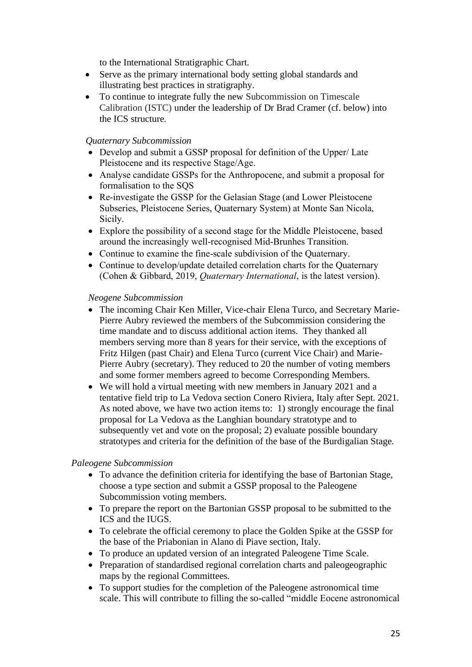to the International Stratigraphic Chart.

- Serve as the primary international body setting global standards and illustrating best practices in stratigraphy.
- To continue to integrate fully the new Subcommission on Timescale Calibration (ISTC) under the leadership of Dr Brad Cramer (cf. below) into the ICS structure.

#### *Quaternary Subcommission*

- Develop and submit a GSSP proposal for definition of the Upper/ Late Pleistocene and its respective Stage/Age.
- Analyse candidate GSSPs for the Anthropocene, and submit a proposal for formalisation to the SQS
- Re-investigate the GSSP for the Gelasian Stage (and Lower Pleistocene) Subseries, Pleistocene Series, Quaternary System) at Monte San Nicola, Sicily.
- Explore the possibility of a second stage for the Middle Pleistocene, based around the increasingly well-recognised Mid-Brunhes Transition.
- Continue to examine the fine-scale subdivision of the Quaternary.
- Continue to develop/update detailed correlation charts for the Quaternary (Cohen & Gibbard, 2019, *Quaternary International*, is the latest version).

#### *Neogene Subcommission*

- The incoming Chair Ken Miller, Vice-chair Elena Turco, and Secretary Marie-Pierre Aubry reviewed the members of the Subcommission considering the time mandate and to discuss additional action items. They thanked all members serving more than 8 years for their service, with the exceptions of Fritz Hilgen (past Chair) and Elena Turco (current Vice Chair) and Marie-Pierre Aubry (secretary). They reduced to 20 the number of voting members and some former members agreed to become Corresponding Members.
- We will hold a virtual meeting with new members in January 2021 and a tentative field trip to La Vedova section Conero Riviera, Italy after Sept. 2021. As noted above, we have two action items to: 1) strongly encourage the final proposal for La Vedova as the Langhian boundary stratotype and to subsequently vet and vote on the proposal; 2) evaluate possible boundary stratotypes and criteria for the definition of the base of the Burdigalian Stage.

#### *Paleogene Subcommission*

- To advance the definition criteria for identifying the base of Bartonian Stage, choose a type section and submit a GSSP proposal to the Paleogene Subcommission voting members.
- To prepare the report on the Bartonian GSSP proposal to be submitted to the ICS and the IUGS.
- To celebrate the official ceremony to place the Golden Spike at the GSSP for the base of the Priabonian in Alano di Piave section, Italy.
- To produce an updated version of an integrated Paleogene Time Scale.
- Preparation of standardised regional correlation charts and paleogeographic maps by the regional Committees.
- To support studies for the completion of the Paleogene astronomical time scale. This will contribute to filling the so-called "middle Eocene astronomical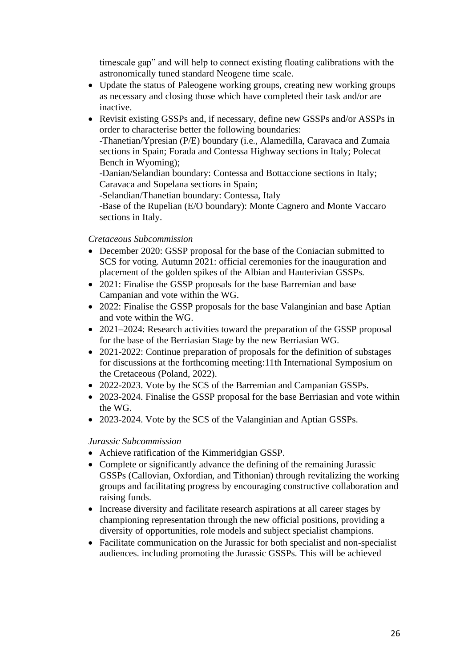timescale gap" and will help to connect existing floating calibrations with the astronomically tuned standard Neogene time scale.

- Update the status of Paleogene working groups, creating new working groups as necessary and closing those which have completed their task and/or are inactive.
- Revisit existing GSSPs and, if necessary, define new GSSPs and/or ASSPs in order to characterise better the following boundaries:

-Thanetian/Ypresian (P/E) boundary (i.e., Alamedilla, Caravaca and Zumaia sections in Spain; Forada and Contessa Highway sections in Italy; Polecat Bench in Wyoming);

-Danian/Selandian boundary: Contessa and Bottaccione sections in Italy; Caravaca and Sopelana sections in Spain;

-Selandian/Thanetian boundary: Contessa, Italy

-Base of the Rupelian (E/O boundary): Monte Cagnero and Monte Vaccaro sections in Italy.

### *Cretaceous Subcommission*

- December 2020: GSSP proposal for the base of the Coniacian submitted to SCS for voting. Autumn 2021: official ceremonies for the inauguration and placement of the golden spikes of the Albian and Hauterivian GSSPs.
- 2021: Finalise the GSSP proposals for the base Barremian and base Campanian and vote within the WG.
- 2022: Finalise the GSSP proposals for the base Valanginian and base Aptian and vote within the WG.
- 2021–2024: Research activities toward the preparation of the GSSP proposal for the base of the Berriasian Stage by the new Berriasian WG.
- 2021-2022: Continue preparation of proposals for the definition of substages for discussions at the forthcoming meeting:11th International Symposium on the Cretaceous (Poland, 2022).
- 2022-2023. Vote by the SCS of the Barremian and Campanian GSSPs.
- 2023-2024. Finalise the GSSP proposal for the base Berriasian and vote within the WG.
- 2023-2024. Vote by the SCS of the Valanginian and Aptian GSSPs.

### *Jurassic Subcommission*

- Achieve ratification of the Kimmeridgian GSSP.
- Complete or significantly advance the defining of the remaining Jurassic GSSPs (Callovian, Oxfordian, and Tithonian) through revitalizing the working groups and facilitating progress by encouraging constructive collaboration and raising funds.
- Increase diversity and facilitate research aspirations at all career stages by championing representation through the new official positions, providing a diversity of opportunities, role models and subject specialist champions.
- Facilitate communication on the Jurassic for both specialist and non-specialist audiences. including promoting the Jurassic GSSPs. This will be achieved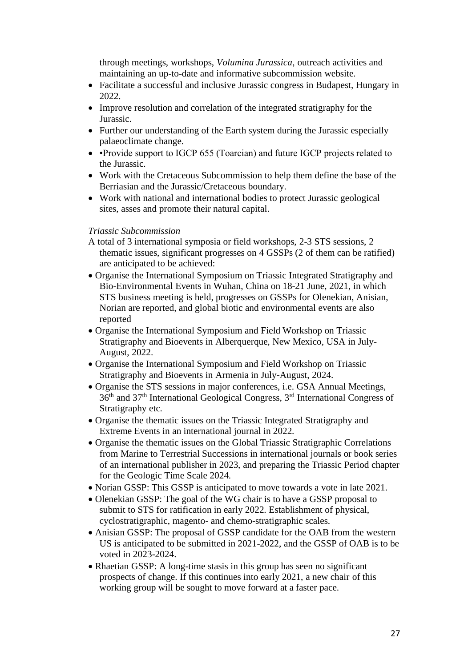through meetings, workshops, *Volumina Jurassica*, outreach activities and maintaining an up-to-date and informative subcommission website.

- Facilitate a successful and inclusive Jurassic congress in Budapest, Hungary in 2022.
- Improve resolution and correlation of the integrated stratigraphy for the Jurassic.
- Further our understanding of the Earth system during the Jurassic especially palaeoclimate change.
- •Provide support to IGCP 655 (Toarcian) and future IGCP projects related to the Jurassic.
- Work with the Cretaceous Subcommission to help them define the base of the Berriasian and the Jurassic/Cretaceous boundary.
- Work with national and international bodies to protect Jurassic geological sites, asses and promote their natural capital.

#### *Triassic Subcommission*

- A total of 3 international symposia or field workshops, 2-3 STS sessions, 2 thematic issues, significant progresses on 4 GSSPs (2 of them can be ratified) are anticipated to be achieved:
- Organise the International Symposium on Triassic Integrated Stratigraphy and Bio-Environmental Events in Wuhan, China on 18-21 June, 2021, in which STS business meeting is held, progresses on GSSPs for Olenekian, Anisian, Norian are reported, and global biotic and environmental events are also reported
- Organise the International Symposium and Field Workshop on Triassic Stratigraphy and Bioevents in Alberquerque, New Mexico, USA in July-August, 2022.
- Organise the International Symposium and Field Workshop on Triassic Stratigraphy and Bioevents in Armenia in July-August, 2024.
- Organise the STS sessions in major conferences, i.e. GSA Annual Meetings,  $36<sup>th</sup>$  and  $37<sup>th</sup>$  International Geological Congress,  $3<sup>rd</sup>$  International Congress of Stratigraphy etc.
- Organise the thematic issues on the Triassic Integrated Stratigraphy and Extreme Events in an international journal in 2022.
- Organise the thematic issues on the Global Triassic Stratigraphic Correlations from Marine to Terrestrial Successions in international journals or book series of an international publisher in 2023, and preparing the Triassic Period chapter for the Geologic Time Scale 2024.
- Norian GSSP: This GSSP is anticipated to move towards a vote in late 2021.
- Olenekian GSSP: The goal of the WG chair is to have a GSSP proposal to submit to STS for ratification in early 2022. Establishment of physical, cyclostratigraphic, magento- and chemo-stratigraphic scales.
- Anisian GSSP: The proposal of GSSP candidate for the OAB from the western US is anticipated to be submitted in 2021-2022, and the GSSP of OAB is to be voted in 2023-2024.
- Rhaetian GSSP: A long-time stasis in this group has seen no significant prospects of change. If this continues into early 2021, a new chair of this working group will be sought to move forward at a faster pace.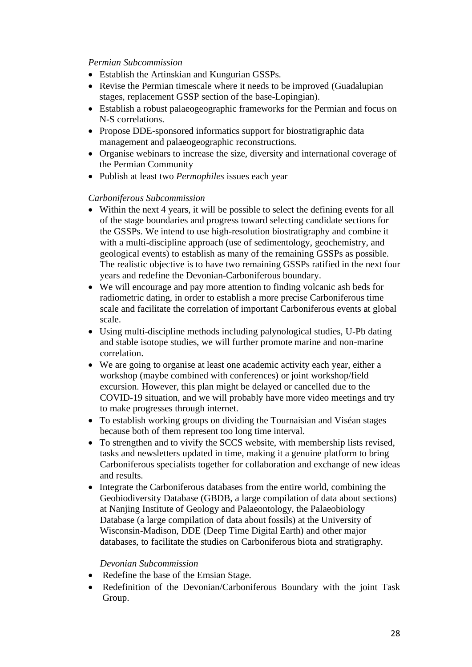#### *Permian Subcommission*

- Establish the Artinskian and Kungurian GSSPs.
- Revise the Permian timescale where it needs to be improved (Guadalupian stages, replacement GSSP section of the base-Lopingian).
- Establish a robust palaeogeographic frameworks for the Permian and focus on N-S correlations.
- Propose DDE-sponsored informatics support for biostratigraphic data management and palaeogeographic reconstructions.
- Organise webinars to increase the size, diversity and international coverage of the Permian Community
- Publish at least two *Permophiles* issues each year

#### *Carboniferous Subcommission*

- Within the next 4 years, it will be possible to select the defining events for all of the stage boundaries and progress toward selecting candidate sections for the GSSPs. We intend to use high-resolution biostratigraphy and combine it with a multi-discipline approach (use of sedimentology, geochemistry, and geological events) to establish as many of the remaining GSSPs as possible. The realistic objective is to have two remaining GSSPs ratified in the next four years and redefine the Devonian-Carboniferous boundary.
- We will encourage and pay more attention to finding volcanic ash beds for radiometric dating, in order to establish a more precise Carboniferous time scale and facilitate the correlation of important Carboniferous events at global scale.
- Using multi-discipline methods including palynological studies, U-Pb dating and stable isotope studies, we will further promote marine and non-marine correlation.
- We are going to organise at least one academic activity each year, either a workshop (maybe combined with conferences) or joint workshop/field excursion. However, this plan might be delayed or cancelled due to the COVID-19 situation, and we will probably have more video meetings and try to make progresses through internet.
- To establish working groups on dividing the Tournaisian and Viséan stages because both of them represent too long time interval.
- To strengthen and to vivify the SCCS website, with membership lists revised, tasks and newsletters updated in time, making it a genuine platform to bring Carboniferous specialists together for collaboration and exchange of new ideas and results.
- Integrate the Carboniferous databases from the entire world, combining the Geobiodiversity Database (GBDB, a large compilation of data about sections) at Nanjing Institute of Geology and Palaeontology, the Palaeobiology Database (a large compilation of data about fossils) at the University of Wisconsin-Madison, DDE (Deep Time Digital Earth) and other major databases, to facilitate the studies on Carboniferous biota and stratigraphy.

### *Devonian Subcommission*

- Redefine the base of the Emsian Stage.
- Redefinition of the Devonian/Carboniferous Boundary with the joint Task Group.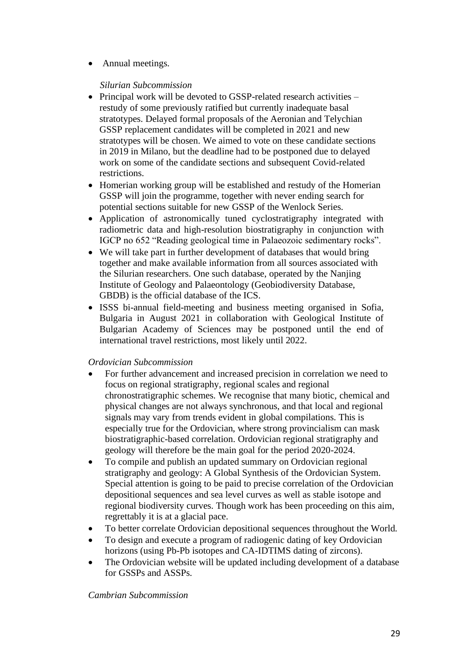• Annual meetings.

### *Silurian Subcommission*

- Principal work will be devoted to GSSP-related research activities restudy of some previously ratified but currently inadequate basal stratotypes. Delayed formal proposals of the Aeronian and Telychian GSSP replacement candidates will be completed in 2021 and new stratotypes will be chosen. We aimed to vote on these candidate sections in 2019 in Milano, but the deadline had to be postponed due to delayed work on some of the candidate sections and subsequent Covid-related restrictions.
- Homerian working group will be established and restudy of the Homerian GSSP will join the programme, together with never ending search for potential sections suitable for new GSSP of the Wenlock Series.
- Application of astronomically tuned cyclostratigraphy integrated with radiometric data and high-resolution biostratigraphy in conjunction with IGCP no 652 "Reading geological time in Palaeozoic sedimentary rocks".
- We will take part in further development of databases that would bring together and make available information from all sources associated with the Silurian researchers. One such database, operated by the Nanjing Institute of Geology and Palaeontology (Geobiodiversity Database, GBDB) is the official database of the ICS.
- ISSS bi-annual field-meeting and business meeting organised in Sofia, Bulgaria in August 2021 in collaboration with Geological Institute of Bulgarian Academy of Sciences may be postponed until the end of international travel restrictions, most likely until 2022.

### *Ordovician Subcommission*

- For further advancement and increased precision in correlation we need to focus on regional stratigraphy, regional scales and regional chronostratigraphic schemes. We recognise that many biotic, chemical and physical changes are not always synchronous, and that local and regional signals may vary from trends evident in global compilations. This is especially true for the Ordovician, where strong provincialism can mask biostratigraphic-based correlation. Ordovician regional stratigraphy and geology will therefore be the main goal for the period 2020-2024.
- To compile and publish an updated summary on Ordovician regional stratigraphy and geology: A Global Synthesis of the Ordovician System. Special attention is going to be paid to precise correlation of the Ordovician depositional sequences and sea level curves as well as stable isotope and regional biodiversity curves. Though work has been proceeding on this aim, regrettably it is at a glacial pace.
- To better correlate Ordovician depositional sequences throughout the World.
- To design and execute a program of radiogenic dating of key Ordovician horizons (using Pb-Pb isotopes and CA-IDTIMS dating of zircons).
- The Ordovician website will be updated including development of a database for GSSPs and ASSPs.

### *Cambrian Subcommission*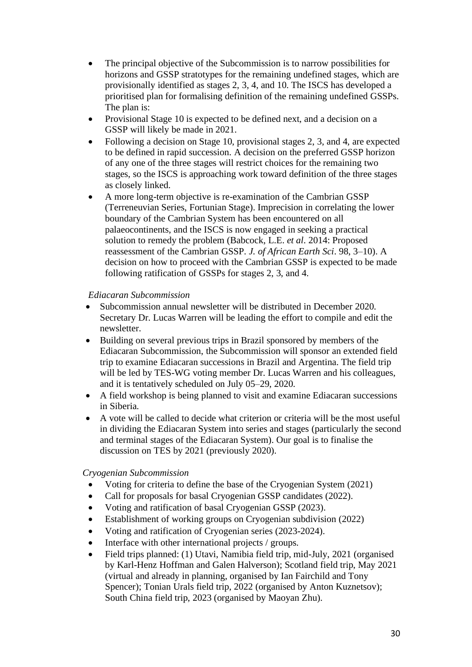- The principal objective of the Subcommission is to narrow possibilities for horizons and GSSP stratotypes for the remaining undefined stages, which are provisionally identified as stages 2, 3, 4, and 10. The ISCS has developed a prioritised plan for formalising definition of the remaining undefined GSSPs. The plan is:
- Provisional Stage 10 is expected to be defined next, and a decision on a GSSP will likely be made in 2021.
- Following a decision on Stage 10, provisional stages 2, 3, and 4, are expected to be defined in rapid succession. A decision on the preferred GSSP horizon of any one of the three stages will restrict choices for the remaining two stages, so the ISCS is approaching work toward definition of the three stages as closely linked.
- A more long-term objective is re-examination of the Cambrian GSSP (Terreneuvian Series, Fortunian Stage). Imprecision in correlating the lower boundary of the Cambrian System has been encountered on all palaeocontinents, and the ISCS is now engaged in seeking a practical solution to remedy the problem (Babcock, L.E. *et al*. 2014: Proposed reassessment of the Cambrian GSSP. *J. of African Earth Sci*. 98, 3–10). A decision on how to proceed with the Cambrian GSSP is expected to be made following ratification of GSSPs for stages 2, 3, and 4.

#### *Ediacaran Subcommission*

- Subcommission annual newsletter will be distributed in December 2020. Secretary Dr. Lucas Warren will be leading the effort to compile and edit the newsletter.
- Building on several previous trips in Brazil sponsored by members of the Ediacaran Subcommission, the Subcommission will sponsor an extended field trip to examine Ediacaran successions in Brazil and Argentina. The field trip will be led by TES-WG voting member Dr. Lucas Warren and his colleagues, and it is tentatively scheduled on July 05–29, 2020.
- A field workshop is being planned to visit and examine Ediacaran successions in Siberia.
- A vote will be called to decide what criterion or criteria will be the most useful in dividing the Ediacaran System into series and stages (particularly the second and terminal stages of the Ediacaran System). Our goal is to finalise the discussion on TES by 2021 (previously 2020).

### *Cryogenian Subcommission*

- Voting for criteria to define the base of the Cryogenian System (2021)
- Call for proposals for basal Cryogenian GSSP candidates (2022).
- Voting and ratification of basal Cryogenian GSSP (2023).
- Establishment of working groups on Cryogenian subdivision (2022)
- Voting and ratification of Cryogenian series (2023-2024).
- Interface with other international projects / groups.
- Field trips planned: (1) Utavi, Namibia field trip, mid-July, 2021 (organised by Karl-Henz Hoffman and Galen Halverson); Scotland field trip, May 2021 (virtual and already in planning, organised by Ian Fairchild and Tony Spencer); Tonian Urals field trip, 2022 (organised by Anton Kuznetsov); South China field trip, 2023 (organised by Maoyan Zhu).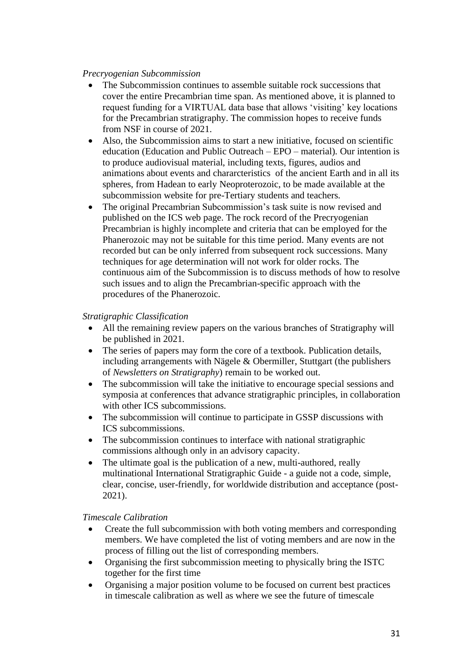#### *Precryogenian Subcommission*

- The Subcommission continues to assemble suitable rock successions that cover the entire Precambrian time span. As mentioned above, it is planned to request funding for a VIRTUAL data base that allows 'visiting' key locations for the Precambrian stratigraphy. The commission hopes to receive funds from NSF in course of 2021.
- Also, the Subcommission aims to start a new initiative, focused on scientific education (Education and Public Outreach – EPO – material). Our intention is to produce audiovisual material, including texts, figures, audios and animations about events and chararcteristics of the ancient Earth and in all its spheres, from Hadean to early Neoproterozoic, to be made available at the subcommission website for pre-Tertiary students and teachers.
- The original Precambrian Subcommission's task suite is now revised and published on the ICS web page. The rock record of the Precryogenian Precambrian is highly incomplete and criteria that can be employed for the Phanerozoic may not be suitable for this time period. Many events are not recorded but can be only inferred from subsequent rock successions. Many techniques for age determination will not work for older rocks. The continuous aim of the Subcommission is to discuss methods of how to resolve such issues and to align the Precambrian-specific approach with the procedures of the Phanerozoic.

### *Stratigraphic Classification*

- All the remaining review papers on the various branches of Stratigraphy will be published in 2021.
- The series of papers may form the core of a textbook. Publication details, including arrangements with Nägele  $&$  Obermiller, Stuttgart (the publishers of *Newsletters on Stratigraphy*) remain to be worked out.
- The subcommission will take the initiative to encourage special sessions and symposia at conferences that advance stratigraphic principles, in collaboration with other ICS subcommissions.
- The subcommission will continue to participate in GSSP discussions with ICS subcommissions.
- The subcommission continues to interface with national stratigraphic commissions although only in an advisory capacity.
- The ultimate goal is the publication of a new, multi-authored, really multinational International Stratigraphic Guide - a guide not a code, simple, clear, concise, user-friendly, for worldwide distribution and acceptance (post-2021).

### *Timescale Calibration*

- Create the full subcommission with both voting members and corresponding members. We have completed the list of voting members and are now in the process of filling out the list of corresponding members.
- Organising the first subcommission meeting to physically bring the ISTC together for the first time
- Organising a major position volume to be focused on current best practices in timescale calibration as well as where we see the future of timescale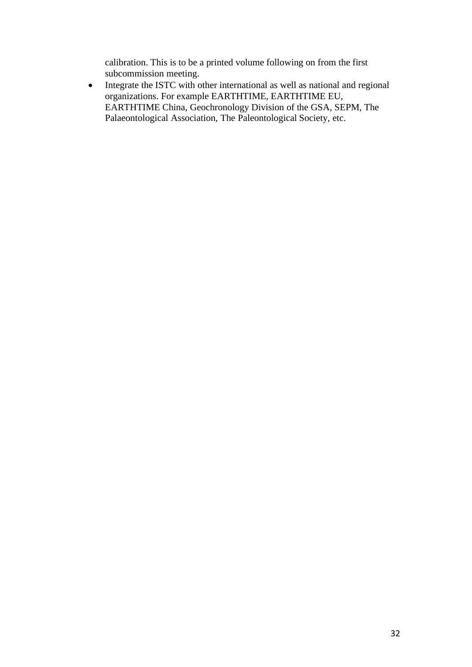calibration. This is to be a printed volume following on from the first subcommission meeting.

• Integrate the ISTC with other international as well as national and regional organizations. For example EARTHTIME, EARTHTIME EU, EARTHTIME China, Geochronology Division of the GSA, SEPM, The Palaeontological Association, The Paleontological Society, etc.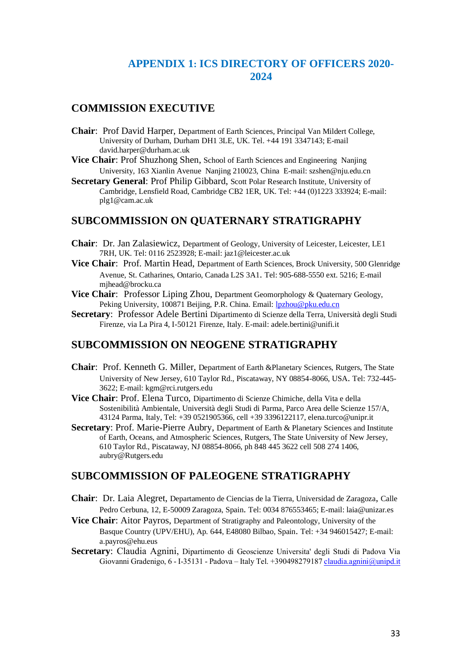### **APPENDIX 1: ICS DIRECTORY OF OFFICERS 2020- 2024**

### **COMMISSION EXECUTIVE**

- **Chair**: Prof David Harper, Department of Earth Sciences, Principal Van Mildert College, University of Durham, Durham DH1 3LE, UK. Tel. +44 191 3347143; E-mail david.harper@durham.ac.uk
- **Vice Chair**: Prof Shuzhong Shen, School of Earth Sciences and Engineering Nanjing University, 163 Xianlin Avenue Nanjing 210023, China E-mail: szshen@nju.edu.cn
- **Secretary General**: Prof Philip Gibbard, Scott Polar Research Institute, University of Cambridge, Lensfield Road, Cambridge CB2 1ER, UK. Tel: +44 (0)1223 333924; E-mail: plg1@cam.ac.uk

### **SUBCOMMISSION ON QUATERNARY STRATIGRAPHY**

- **Chair**: Dr. Jan Zalasiewicz, Department of Geology, University of Leicester, Leicester, LE1 7RH, UK. Tel: 0116 2523928; E-mail: jaz1@leicester.ac.uk
- **Vice Chair**: Prof. Martin Head, Department of Earth Sciences, Brock University, 500 Glenridge Avenue, St. Catharines, Ontario, Canada L2S 3A1. Tel: 905-688-5550 ext. 5216; E-mail mjhead@brocku.ca
- **Vice Chair:** Professor Liping Zhou, Department Geomorphology & Quaternary Geology, Peking University, 100871 Beijing, P.R. China. Email[: lpzhou@pku.edu.cn](mailto:lpzhou@pku.edu.cn)
- **Secretary**: Professor Adele Bertini Dipartimento di Scienze della Terra, Università degli Studi Firenze, via La Pira 4, I-50121 Firenze, Italy. E-mail: adele.bertini@unifi.it

### **SUBCOMMISSION ON NEOGENE STRATIGRAPHY**

- **Chair**: Prof. Kenneth G. Miller, Department of Earth &Planetary Sciences, Rutgers, The State University of New Jersey, 610 Taylor Rd., Piscataway, NY 08854-8066, USA. Tel: 732-445- 3622; E-mail: kgm@rci.rutgers.edu
- **Vice Chair**: Prof. Elena Turco, Dipartimento di Scienze Chimiche, della Vita e della Sostenibilità Ambientale, Università degli Studi di Parma, Parco Area delle Scienze 157/A, 43124 Parma, Italy, Tel: +39 0521905366, cell +39 3396122117, elena.turco@unipr.it
- Secretary: Prof. Marie-Pierre Aubry, Department of Earth & Planetary Sciences and Institute of Earth, Oceans, and Atmospheric Sciences, Rutgers, The State University of New Jersey, 610 Taylor Rd., Piscataway, NJ 08854-8066, ph 848 445 3622 cell 508 274 1406, aubry@Rutgers.edu

### **SUBCOMMISSION OF PALEOGENE STRATIGRAPHY**

- **Chair**: Dr. Laia Alegret, Departamento de Ciencias de la Tierra, Universidad de Zaragoza, Calle Pedro Cerbuna, 12, E-50009 Zaragoza, Spain. Tel: 0034 876553465; E-mail: laia@unizar.es
- **Vice Chair**: Aitor Payros, Department of Stratigraphy and Paleontology, University of the Basque Country (UPV/EHU), Ap. 644, E48080 Bilbao, Spain. Tel: +34 946015427; E-mail: a.payros@ehu.eus
- **Secretary**: Claudia Agnini, Dipartimento di Geoscienze Universita' degli Studi di Padova Via Giovanni Gradenigo, 6 - I-35131 - Padova – Italy Tel. +39049827918[7 claudia.agnini@unipd.it](mailto:claudia.agnini@unipd.it)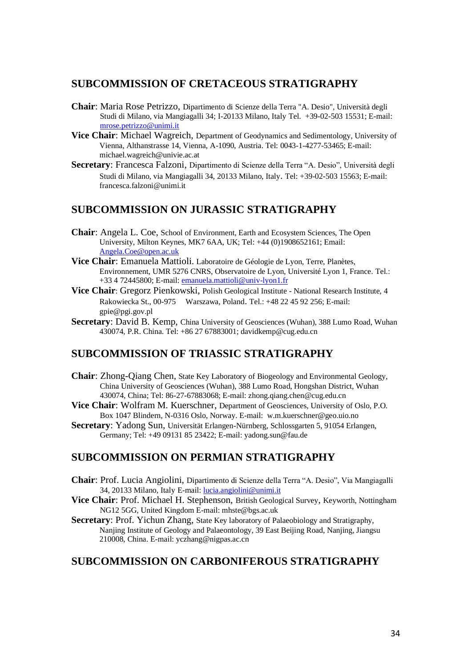### **SUBCOMMISSION OF CRETACEOUS STRATIGRAPHY**

- **Chair**: Maria Rose Petrizzo, Dipartimento di Scienze della Terra "A. Desio", Università degli Studi di Milano, via Mangiagalli 34; I-20133 Milano, Italy Tel. +39-02-503 15531; E-mail: [mrose.petrizzo@unimi.it](mailto:mrose.petrizzo@unimi.it)
- **Vice Chair**: Michael Wagreich, Department of Geodynamics and Sedimentology, University of Vienna, Althanstrasse 14, Vienna, A-1090, Austria. Tel: 0043-1-4277-53465; E-mail: michael.wagreich@univie.ac.at
- **Secretary**: Francesca Falzoni, Dipartimento di Scienze della Terra "A. Desio", Università degli Studi di Milano, via Mangiagalli 34, 20133 Milano, Italy. Tel: +39-02-503 15563; E-mail: francesca.falzoni@unimi.it

### **SUBCOMMISSION ON JURASSIC STRATIGRAPHY**

- **Chair**: Angela L. Coe, School of Environment, Earth and Ecosystem Sciences, The Open University, Milton Keynes, MK7 6AA, UK; Tel: +44 (0)1908652161; Email: [Angela.Coe@open.ac.uk](mailto:Angela.Coe@open.ac.uk)
- **Vice Chair**: Emanuela Mattioli. Laboratoire de Géologie de Lyon, Terre, Planètes, Environnement, UMR 5276 CNRS, Observatoire de Lyon, Université Lyon 1, France. Tel.: +33 4 72445800; E-mail: [emanuela.mattioli@univ-lyon1.fr](mailto:emanuela.mattioli@univ-lyon1.fr)
- **Vice Chair**: Gregorz Pienkowski, Polish Geological Institute National Research Institute, 4 Rakowiecka St., 00-975 Warszawa, Poland. Tel.: +48 22 45 92 256; E-mail: gpie@pgi.gov.pl
- **Secretary**: David B. Kemp, China University of Geosciences (Wuhan), 388 Lumo Road, Wuhan 430074, P.R. China. Tel: +86 27 67883001; davidkemp@cug.edu.cn

### **SUBCOMMISSION OF TRIASSIC STRATIGRAPHY**

- **Chair**: Zhong-Qiang Chen, State Key Laboratory of Biogeology and Environmental Geology, China University of Geosciences (Wuhan), 388 Lumo Road, Hongshan District, Wuhan 430074, China; Tel: 86-27-67883068; E-mail: zhong.qiang.chen@cug.edu.cn
- **Vice Chair**: Wolfram M. Kuerschner, Department of Geosciences, University of Oslo, P.O. Box 1047 Blindern, N-0316 Oslo, Norway. E-mail: w.m.kuerschner@geo.uio.no
- **Secretary**: Yadong Sun, Universität Erlangen-Nürnberg, Schlossgarten 5, 91054 Erlangen, Germany; Tel: +49 09131 85 23422; E-mail: yadong.sun@fau.de

### **SUBCOMMISSION ON PERMIAN STRATIGRAPHY**

- **Chair**: Prof. Lucia Angiolini, Dipartimento di Scienze della Terra "A. Desio", Via Mangiagalli 34, 20133 Milano, Italy E-mail: [lucia.angiolini@unimi.it](mailto:lucia.angiolini@unimi.it)
- **Vice Chair**: Prof. Michael H. Stephenson, British Geological Survey, Keyworth, Nottingham NG12 5GG, United Kingdom E-mail: mhste@bgs.ac.uk
- **Secretary:** Prof. Yichun Zhang, State Key laboratory of Palaeobiology and Stratigraphy, Nanjing Institute of Geology and Palaeontology, 39 East Beijing Road, Nanjing, Jiangsu 210008, China. E-mail: yczhang@nigpas.ac.cn

### **SUBCOMMISSION ON CARBONIFEROUS STRATIGRAPHY**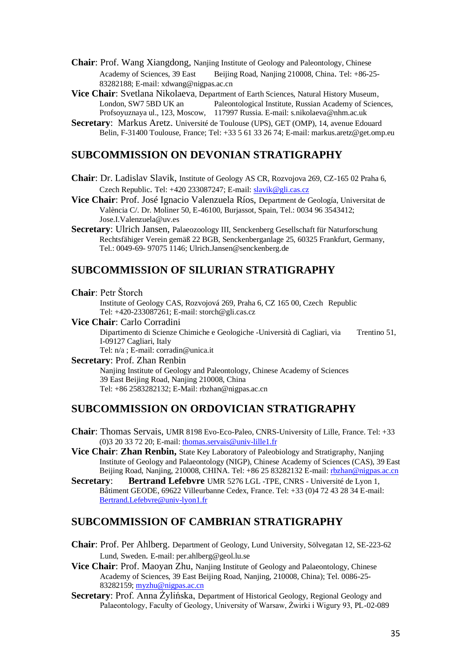- **Chair**: Prof. Wang Xiangdong, Nanjing Institute of Geology and Paleontology, Chinese Academy of Sciences, 39 East Beijing Road, Nanjing 210008, China. Tel: +86-25-83282188; E-mail: xdwang@nigpas.ac.cn
- **Vice Chair**: Svetlana Nikolaeva, Department of Earth Sciences, Natural History Museum,<br>London, SW7 5BD UK an Paleontological Institute, Russian Academy of Scien Paleontological Institute, Russian Academy of Sciences, Profsoyuznaya ul., 123, Moscow, 117997 Russia. E-mail: s.nikolaeva@nhm.ac.uk
- **Secretary**: Markus Aretz. Université de Toulouse (UPS), GET (OMP), 14, avenue Edouard Belin, F-31400 Toulouse, France; Tel: +33 5 61 33 26 74; E-mail: markus.aretz@get.omp.eu

### **SUBCOMMISSION ON DEVONIAN STRATIGRAPHY**

- **Chair**: Dr. Ladislav Slavik, Institute of Geology AS CR, Rozvojova 269, CZ-165 02 Praha 6, Czech Republic. Tel: +420 233087247; E-mail[: slavik@gli.cas.cz](mailto:slavik@gli.cas.cz)
- **Vice Chair**: Prof. José Ignacio Valenzuela Ríos, Department de Geología, Universitat de València C/. Dr. Moliner 50, E-46100, Burjassot, Spain, Tel.: 0034 96 3543412; Jose.I.Valenzuela@uv.es
- **Secretary**: Ulrich Jansen, Palaeozoology III, Senckenberg Gesellschaft für Naturforschung Rechtsfähiger Verein gemäß 22 BGB, Senckenberganlage 25, 60325 Frankfurt, Germany, Tel.: 0049-69- 97075 1146; Ulrich.Jansen@senckenberg.de

#### **SUBCOMMISSION OF SILURIAN STRATIGRAPHY**

**Chair**: Petr Štorch

Institute of Geology CAS, Rozvojová 269, Praha 6, CZ 165 00, Czech Republic Tel: +420-233087261; E-mail: storch@gli.cas.cz

**Vice Chair**: Carlo Corradini

Dipartimento di Scienze Chimiche e Geologiche -Università di Cagliari, via Trentino 51, I-09127 Cagliari, Italy

Tel: n/a ; E-mail: corradin@unica.it

**Secretary**: Prof. Zhan Renbin

Nanjing Institute of Geology and Paleontology, Chinese Academy of Sciences 39 East Beijing Road, Nanjing 210008, China Tel: +86 2583282132; E-Mail: rbzhan@nigpas.ac.cn

### **SUBCOMMISSION ON ORDOVICIAN STRATIGRAPHY**

- **Chair**: Thomas Servais, UMR 8198 Evo-Eco-Paleo, CNRS-University of Lille, France. Tel: +33 (0)3 20 33 72 20; E-mail: [thomas.servais@univ-lille1.fr](mailto:thomas.servais@univ-lille1.fr)
- **Vice Chair**: **Zhan Renbin,** State Key Laboratory of Paleobiology and Stratigraphy, Nanjing Institute of Geology and Palaeontology (NIGP), Chinese Academy of Sciences (CAS), 39 East Beijing Road, Nanjing, 210008, CHINA. Tel: +86 25 83282132 E-mail[: rbzhan@nigpas.ac.cn](mailto:rbzhan@nigpas.ac.cn)
- **Secretary**: **Bertrand Lefebvre** UMR 5276 LGL -TPE, CNRS Université de Lyon 1, Bâtiment GEODE, 69622 Villeurbanne Cedex, France. Tel: +33 (0)4 72 43 28 34 E-mail: [Bertrand.Lefebvre@univ-lyon1.fr](mailto:Bertrand.Lefebvre@univ-lyon1.fr)

### **SUBCOMMISSION OF CAMBRIAN STRATIGRAPHY**

- **Chair**: Prof. Per Ahlberg. Department of Geology, Lund University, Sölvegatan 12, SE-223-62 Lund, Sweden. E-mail: per.ahlberg@geol.lu.se
- **Vice Chair:** Prof. Maoyan Zhu, Nanjing Institute of Geology and Palaeontology, Chinese Academy of Sciences, 39 East Beijing Road, Nanjing, 210008, China); Tel. 0086-25- 83282159; [myzhu@nigpas.ac.cn](mailto:myzhu@nigpas.ac.cn)
- **Secretary:** Prof. Anna Żylińska, Department of Historical Geology, Regional Geology and Palaeontology, Faculty of Geology, University of Warsaw, Żwirki i Wigury 93, PL-02-089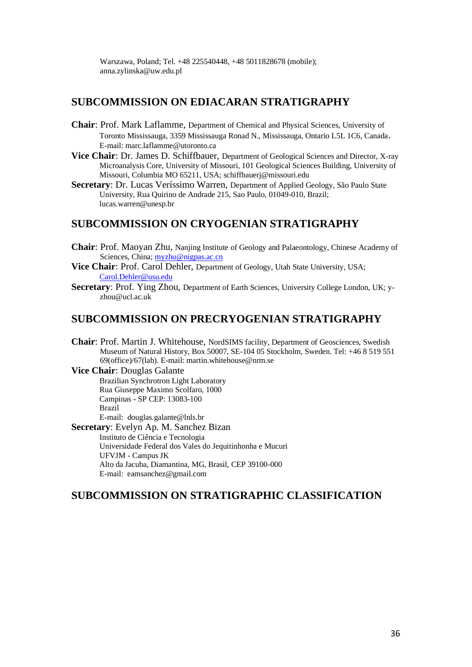Warszawa, Poland; Tel. +48 225540448, +48 5011828678 (mobile); anna.zylinska@uw.edu.pl

### **SUBCOMMISSION ON EDIACARAN STRATIGRAPHY**

- **Chair**: Prof. Mark Laflamme, Department of Chemical and Physical Sciences, University of Toronto Mississauga, 3359 Mississauga Ronad N., Mississauga, Ontario L5L 1C6, Canada. E-mail: marc.laflamme@utoronto.ca
- **Vice Chair**: Dr. James D. Schiffbauer, Department of Geological Sciences and Director, X-ray Microanalysis Core, University of Missouri, 101 Geological Sciences Building, University of Missouri, Columbia MO 65211, USA; schiffbauerj@missouri.edu
- **Secretary**: Dr. Lucas Veríssimo Warren, Department of Applied Geology, São Paulo State University, Rua Quirino de Andrade 215, Sao Paulo, 01049-010, Brazil; lucas.warren@unesp.br

### **SUBCOMMISSION ON CRYOGENIAN STRATIGRAPHY**

- **Chair**: Prof. Maoyan Zhu, Nanjing Institute of Geology and Palaeontology, Chinese Academy of Sciences, China; [myzhu@nigpas.ac.cn](mailto:myzhu@nigpas.ac.cn)
- **Vice Chair**: Prof. Carol Dehler, Department of Geology, Utah State University, USA; [Carol.Dehler@usu.edu](mailto:Carol.Dehler@usu.edu)
- **Secretary**: Prof. Ying Zhou, Department of Earth Sciences, University College London, UK; yzhou@ucl.ac.uk

### **SUBCOMMISSION ON PRECRYOGENIAN STRATIGRAPHY**

- **Chair**: Prof. Martin J. Whitehouse, NordSIMS facility, Department of Geosciences, Swedish Museum of Natural History, Box 50007, SE-104 05 Stockholm, Sweden. Tel: +46 8 519 551 69(office)/67(lab). E-mail: martin.whitehouse@nrm.se
- **Vice Chair**: Douglas Galante Brazilian Synchrotron Light Laboratory Rua Giuseppe Maximo Scolfaro, 1000 Campinas - SP CEP: 13083-100 Brazil E-mail: douglas.galante@lnls.br **Secretary**: Evelyn Ap. M. Sanchez Bizan

Instituto de Ciência e Tecnologia Universidade Federal dos Vales do Jequitinhonha e Mucuri UFVJM - Campus JK Alto da Jacuba, Diamantina, MG, Brasil, CEP 39100-000 E-mail: eamsanchez@gmail.com

### **SUBCOMMISSION ON STRATIGRAPHIC CLASSIFICATION**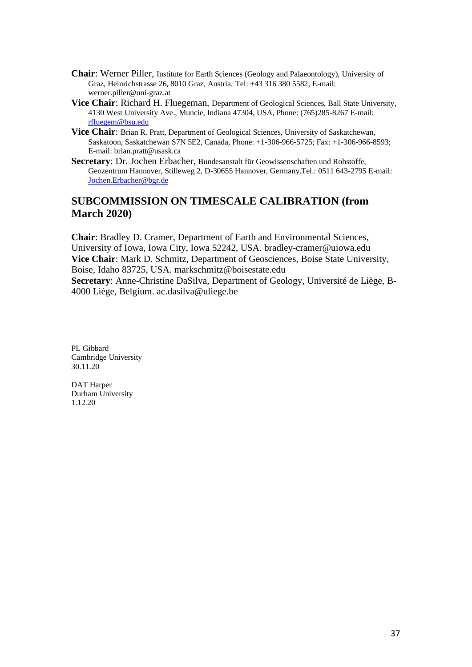- **Chair**: Werner Piller, Institute for Earth Sciences (Geology and Palaeontology), University of Graz, Heinrichstrasse 26, 8010 Graz, Austria. Tel: +43 316 380 5582; E-mail: werner.piller@uni-graz.at
- **Vice Chair**: Richard H. Fluegeman, Department of Geological Sciences, Ball State University, 4130 West University Ave., Muncie, Indiana 47304, USA, Phone: (765)285-8267 E-mail: [rfluegem@bsu.edu](mailto:rfluegem@bsu.edu)
- **Vice Chair**: Brian R. Pratt, Department of Geological Sciences, University of Saskatchewan, Saskatoon, Saskatchewan S7N 5E2, Canada, Phone: +1-306-966-5725; Fax: +1-306-966-8593; E-mail: brian.pratt@usask.ca
- **Secretary**: Dr. Jochen Erbacher, Bundesanstalt für Geowissenschaften und Rohstoffe, Geozentrum Hannover, Stilleweg 2, D-30655 Hannover, Germany.Tel.: 0511 643-2795 E-mail: [Jochen.Erbacher@bgr.de](mailto:Jochen.Erbacher@bgr.de)

### **SUBCOMMISSION ON TIMESCALE CALIBRATION (from March 2020)**

**Chair**: Bradley D. Cramer, Department of Earth and Environmental Sciences, University of Iowa, Iowa City, Iowa 52242, USA. bradley-cramer@uiowa.edu **Vice Chair**: Mark D. Schmitz, Department of Geosciences, Boise State University, Boise, Idaho 83725, USA. markschmitz@boisestate.edu **Secretary**: Anne-Christine DaSilva, Department of Geology, Université de Liège, B-4000 Liège, Belgium. ac.dasilva@uliege.be

PL Gibbard Cambridge University 30.11.20

DAT Harper Durham University 1.12.20